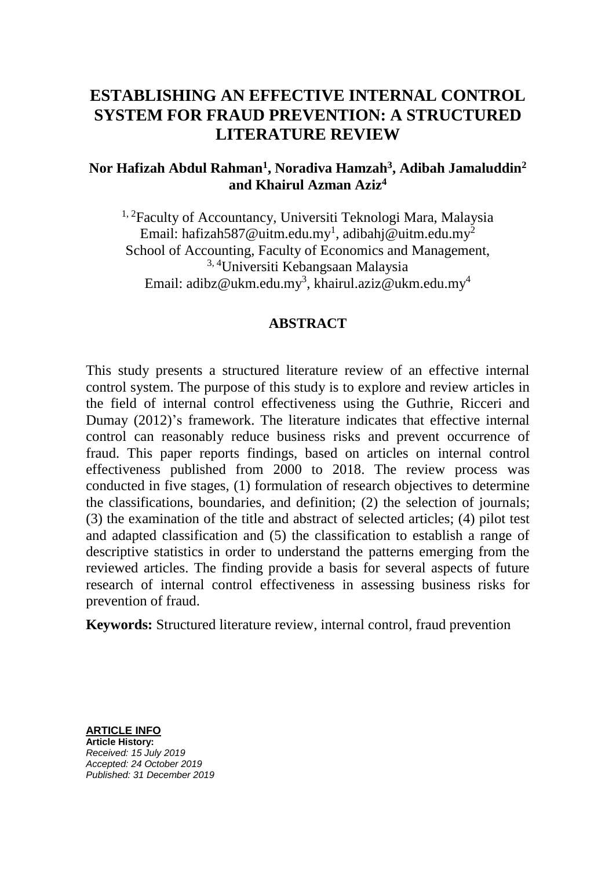# **ESTABLISHING AN EFFECTIVE INTERNAL CONTROL SYSTEM FOR FRAUD PREVENTION: A STRUCTURED LITERATURE REVIEW**

## **Nor Hafizah Abdul Rahman<sup>1</sup> , Noradiva Hamzah<sup>3</sup> , Adibah Jamaluddin<sup>2</sup> and Khairul Azman Aziz<sup>4</sup>**

<sup>1, 2</sup>Faculty of Accountancy, Universiti Teknologi Mara, Malaysia Email: hafizah587@uitm.edu.my $^{\rm l}$ , adibahj@uitm.edu.my $^{\rm 2}$ School of Accounting, Faculty of Economics and Management, 3, 4Universiti Kebangsaan Malaysia Email: adibz@ukm.edu.my $^3$ , khairul.aziz@ukm.edu.my $^4$ 

## **ABSTRACT**

This study presents a structured literature review of an effective internal control system. The purpose of this study is to explore and review articles in the field of internal control effectiveness using the Guthrie, Ricceri and Dumay (2012)'s framework. The literature indicates that effective internal control can reasonably reduce business risks and prevent occurrence of fraud. This paper reports findings, based on articles on internal control effectiveness published from 2000 to 2018. The review process was conducted in five stages, (1) formulation of research objectives to determine the classifications, boundaries, and definition; (2) the selection of journals; (3) the examination of the title and abstract of selected articles; (4) pilot test and adapted classification and (5) the classification to establish a range of descriptive statistics in order to understand the patterns emerging from the reviewed articles. The finding provide a basis for several aspects of future research of internal control effectiveness in assessing business risks for prevention of fraud.

**Keywords:** Structured literature review, internal control, fraud prevention

**ARTICLE INFO Article History:** *Received: 15 July 2019 Accepted: 24 October 2019 Published: 31 December 2019*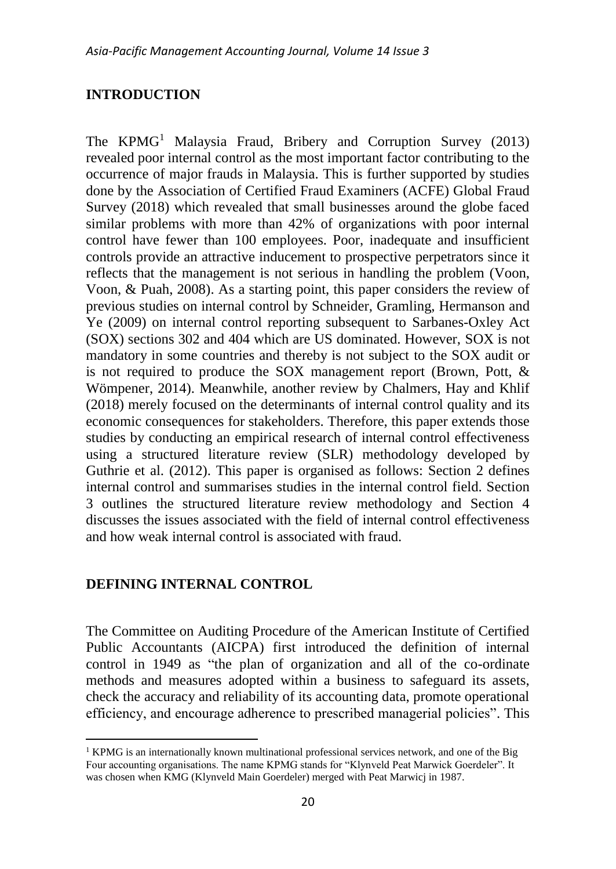## **INTRODUCTION**

The  $KPMG<sup>1</sup>$  Malaysia Fraud, Bribery and Corruption Survey (2013) revealed poor internal control as the most important factor contributing to the occurrence of major frauds in Malaysia. This is further supported by studies done by the Association of Certified Fraud Examiners (ACFE) Global Fraud Survey (2018) which revealed that small businesses around the globe faced similar problems with more than 42% of organizations with poor internal control have fewer than 100 employees. Poor, inadequate and insufficient controls provide an attractive inducement to prospective perpetrators since it reflects that the management is not serious in handling the problem (Voon, Voon, & Puah, 2008). As a starting point, this paper considers the review of previous studies on internal control by Schneider, Gramling, Hermanson and Ye (2009) on internal control reporting subsequent to Sarbanes-Oxley Act (SOX) sections 302 and 404 which are US dominated. However, SOX is not mandatory in some countries and thereby is not subject to the SOX audit or is not required to produce the SOX management report (Brown, Pott, & Wömpener, 2014). Meanwhile, another review by Chalmers, Hay and Khlif (2018) merely focused on the determinants of internal control quality and its economic consequences for stakeholders. Therefore, this paper extends those studies by conducting an empirical research of internal control effectiveness using a structured literature review (SLR) methodology developed by Guthrie et al. (2012). This paper is organised as follows: Section 2 defines internal control and summarises studies in the internal control field. Section 3 outlines the structured literature review methodology and Section 4 discusses the issues associated with the field of internal control effectiveness and how weak internal control is associated with fraud.

## **DEFINING INTERNAL CONTROL**

 $\overline{a}$ 

The Committee on Auditing Procedure of the American Institute of Certified Public Accountants (AICPA) first introduced the definition of internal control in 1949 as "the plan of organization and all of the co-ordinate methods and measures adopted within a business to safeguard its assets, check the accuracy and reliability of its accounting data, promote operational efficiency, and encourage adherence to prescribed managerial policies". This

 $1$  KPMG is an internationally known multinational professional services network, and one of the Big Four accounting organisations. The name KPMG stands for "Klynveld Peat Marwick Goerdeler". It was chosen when KMG (Klynveld Main Goerdeler) merged with Peat Marwicj in 1987.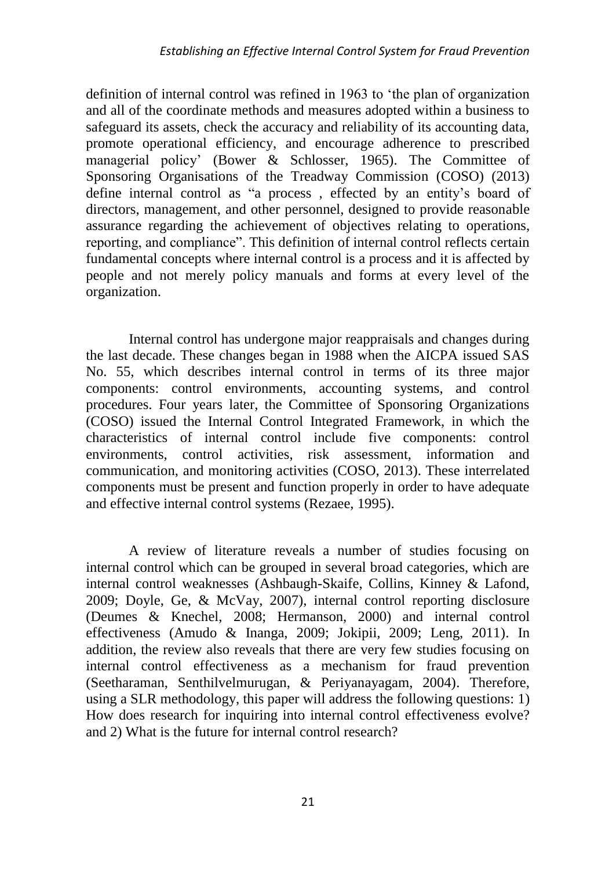definition of internal control was refined in 1963 to 'the plan of organization and all of the coordinate methods and measures adopted within a business to safeguard its assets, check the accuracy and reliability of its accounting data, promote operational efficiency, and encourage adherence to prescribed managerial policy' (Bower & Schlosser, 1965). The Committee of Sponsoring Organisations of the Treadway Commission (COSO) (2013) define internal control as "a process , effected by an entity's board of directors, management, and other personnel, designed to provide reasonable assurance regarding the achievement of objectives relating to operations, reporting, and compliance". This definition of internal control reflects certain fundamental concepts where internal control is a process and it is affected by people and not merely policy manuals and forms at every level of the organization.

Internal control has undergone major reappraisals and changes during the last decade. These changes began in 1988 when the AICPA issued SAS No. 55, which describes internal control in terms of its three major components: control environments, accounting systems, and control procedures. Four years later, the Committee of Sponsoring Organizations (COSO) issued the Internal Control Integrated Framework, in which the characteristics of internal control include five components: control environments, control activities, risk assessment, information and communication, and monitoring activities (COSO, 2013). These interrelated components must be present and function properly in order to have adequate and effective internal control systems (Rezaee, 1995).

A review of literature reveals a number of studies focusing on internal control which can be grouped in several broad categories, which are internal control weaknesses (Ashbaugh-Skaife, Collins, Kinney & Lafond, 2009; Doyle, Ge, & McVay, 2007), internal control reporting disclosure (Deumes & Knechel, 2008; Hermanson, 2000) and internal control effectiveness (Amudo & Inanga, 2009; Jokipii, 2009; Leng, 2011). In addition, the review also reveals that there are very few studies focusing on internal control effectiveness as a mechanism for fraud prevention (Seetharaman, Senthilvelmurugan, & Periyanayagam, 2004). Therefore, using a SLR methodology, this paper will address the following questions: 1) How does research for inquiring into internal control effectiveness evolve? and 2) What is the future for internal control research?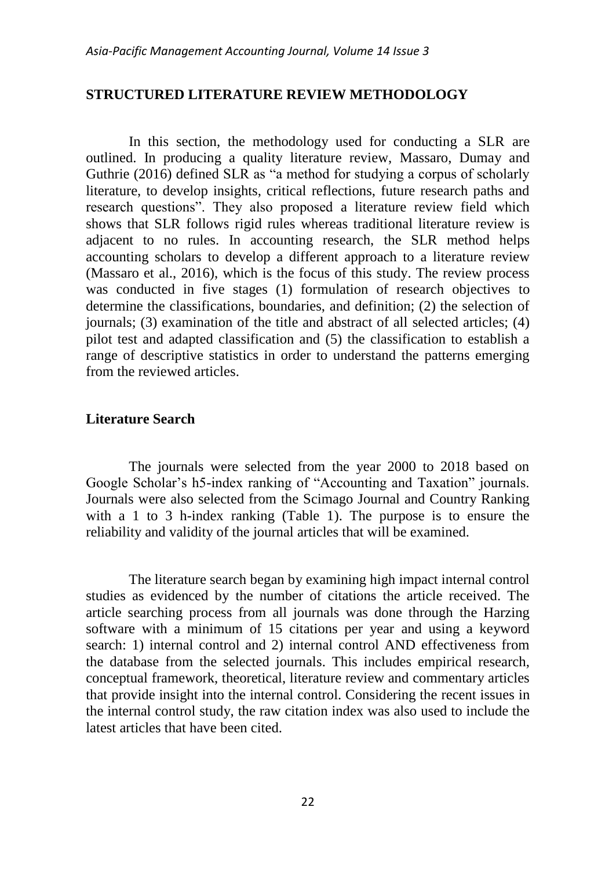## **STRUCTURED LITERATURE REVIEW METHODOLOGY**

In this section, the methodology used for conducting a SLR are outlined. In producing a quality literature review, Massaro, Dumay and Guthrie (2016) defined SLR as "a method for studying a corpus of scholarly literature, to develop insights, critical reflections, future research paths and research questions". They also proposed a literature review field which shows that SLR follows rigid rules whereas traditional literature review is adjacent to no rules. In accounting research, the SLR method helps accounting scholars to develop a different approach to a literature review (Massaro et al., 2016), which is the focus of this study. The review process was conducted in five stages (1) formulation of research objectives to determine the classifications, boundaries, and definition; (2) the selection of journals; (3) examination of the title and abstract of all selected articles; (4) pilot test and adapted classification and (5) the classification to establish a range of descriptive statistics in order to understand the patterns emerging from the reviewed articles.

## **Literature Search**

The journals were selected from the year 2000 to 2018 based on Google Scholar's h5-index ranking of "Accounting and Taxation" journals. Journals were also selected from the Scimago Journal and Country Ranking with a 1 to 3 h-index ranking [\(Table 1\)](#page-4-0). The purpose is to ensure the reliability and validity of the journal articles that will be examined.

The literature search began by examining high impact internal control studies as evidenced by the number of citations the article received. The article searching process from all journals was done through the Harzing software with a minimum of 15 citations per year and using a keyword search: 1) internal control and 2) internal control AND effectiveness from the database from the selected journals. This includes empirical research, conceptual framework, theoretical, literature review and commentary articles that provide insight into the internal control. Considering the recent issues in the internal control study, the raw citation index was also used to include the latest articles that have been cited.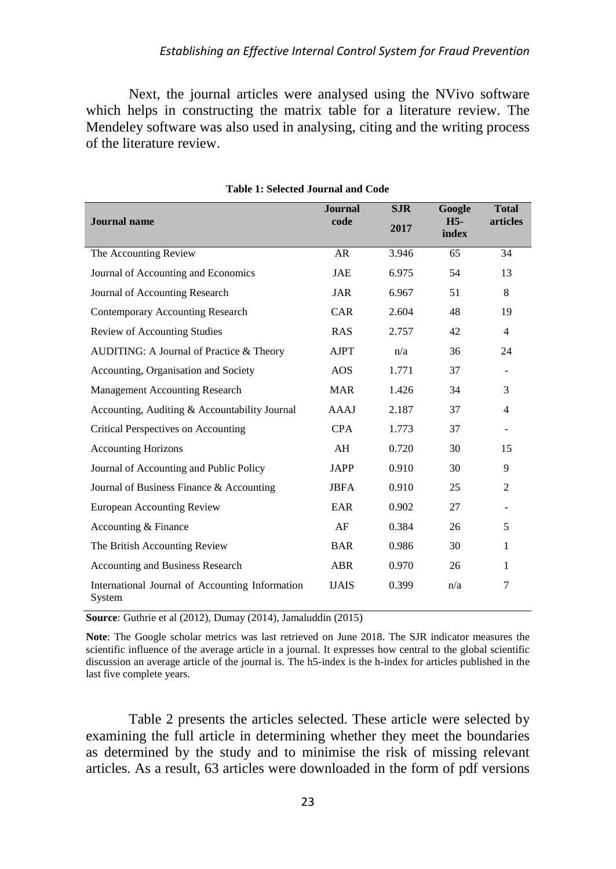Next, the journal articles were analysed using the NVivo software which helps in constructing the matrix table for a literature review. The Mendeley software was also used in analysing, citing and the writing process of the literature review.

<span id="page-4-0"></span>

| <b>Journal</b> name                                       | <b>Journal</b><br>code | <b>SJR</b><br>2017 | Google<br>$H5-$ | <b>Total</b><br>articles |
|-----------------------------------------------------------|------------------------|--------------------|-----------------|--------------------------|
|                                                           |                        |                    | index           |                          |
| The Accounting Review                                     | AR                     | 3.946              | 65              | 34                       |
| Journal of Accounting and Economics                       | JAE                    | 6.975              | 54              | 13                       |
| Journal of Accounting Research                            | <b>JAR</b>             | 6.967              | 51              | 8                        |
| Contemporary Accounting Research                          | <b>CAR</b>             | 2.604              | 48              | 19                       |
| <b>Review of Accounting Studies</b>                       | <b>RAS</b>             | 2.757              | 42              | $\overline{4}$           |
| AUDITING: A Journal of Practice & Theory                  | <b>AJPT</b>            | n/a                | 36              | 24                       |
| Accounting, Organisation and Society                      | <b>AOS</b>             | 1.771              | 37              | $\overline{\phantom{a}}$ |
| Management Accounting Research                            | <b>MAR</b>             | 1.426              | 34              | 3                        |
| Accounting, Auditing & Accountability Journal             | AAAJ                   | 2.187              | 37              | $\overline{4}$           |
| Critical Perspectives on Accounting                       | <b>CPA</b>             | 1.773              | 37              | $\overline{\phantom{a}}$ |
| <b>Accounting Horizons</b>                                | AH                     | 0.720              | 30              | 15                       |
| Journal of Accounting and Public Policy                   | <b>JAPP</b>            | 0.910              | 30              | 9                        |
| Journal of Business Finance & Accounting                  | <b>JBFA</b>            | 0.910              | 25              | 2                        |
| <b>European Accounting Review</b>                         | EAR                    | 0.902              | 27              | $\overline{\phantom{a}}$ |
| Accounting & Finance                                      | AF                     | 0.384              | 26              | 5                        |
| The British Accounting Review                             | <b>BAR</b>             | 0.986              | 30              | 1                        |
| Accounting and Business Research                          | ABR                    | 0.970              | 26              | 1                        |
| International Journal of Accounting Information<br>System | <b>IJAIS</b>           | 0.399              | n/a             | 7                        |

**Table 1: Selected Journal and Code**

**Source**: Guthrie et al (2012), Dumay (2014), Jamaluddin (2015)

**Note**: The Google scholar metrics was last retrieved on June 2018. The SJR indicator measures the scientific influence of the average article in a journal. It expresses how central to the global scientific discussion an average article of the journal is. The h5-index is the h-index for articles published in the last five complete years.

[Table 2](#page-6-0) presents the articles selected. These article were selected by examining the full article in determining whether they meet the boundaries as determined by the study and to minimise the risk of missing relevant articles. As a result, 63 articles were downloaded in the form of pdf versions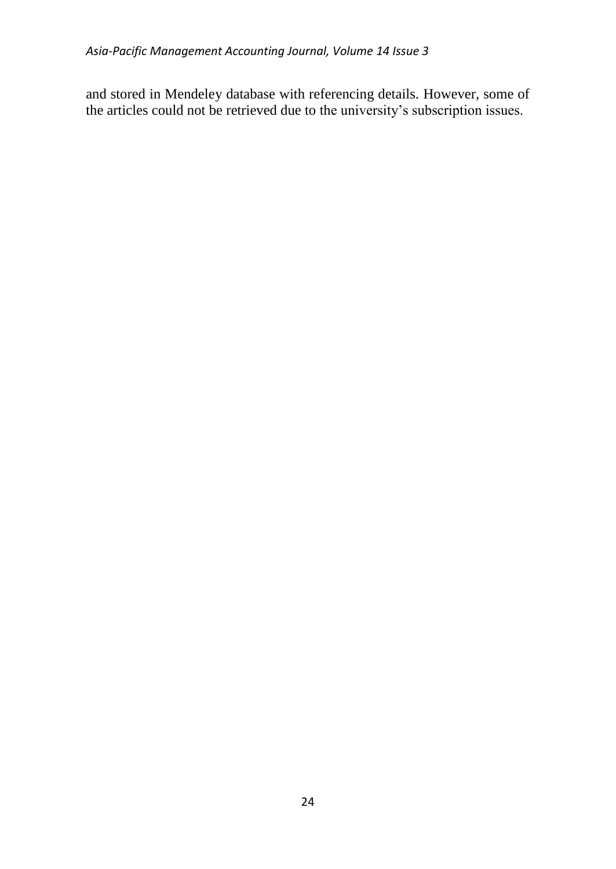and stored in Mendeley database with referencing details. However, some of the articles could not be retrieved due to the university's subscription issues.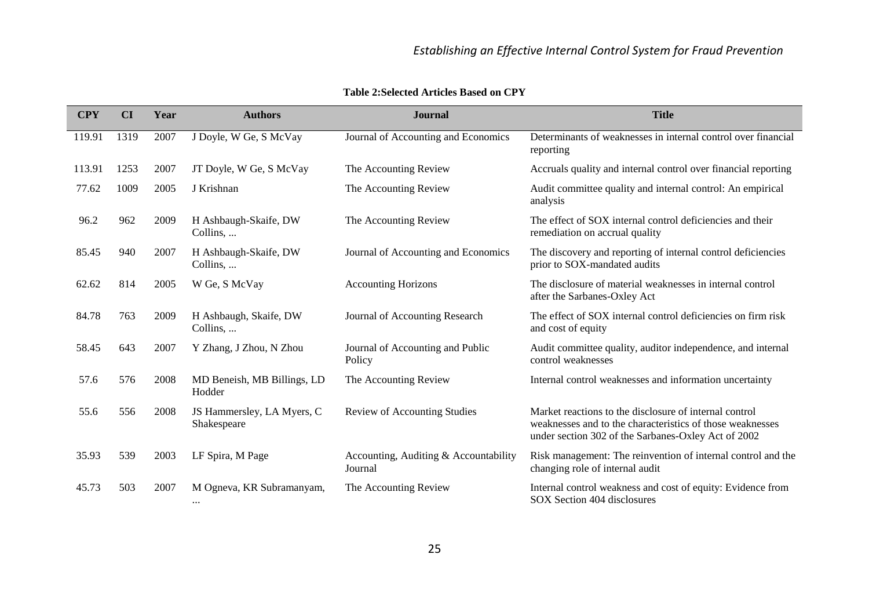<span id="page-6-0"></span>

| <b>CPY</b> | CI   | Year | <b>Authors</b>                            | <b>Journal</b>                                   | <b>Title</b>                                                                                                                                                               |
|------------|------|------|-------------------------------------------|--------------------------------------------------|----------------------------------------------------------------------------------------------------------------------------------------------------------------------------|
| 119.91     | 1319 | 2007 | J Doyle, W Ge, S McVay                    | Journal of Accounting and Economics              | Determinants of weaknesses in internal control over financial<br>reporting                                                                                                 |
| 113.91     | 1253 | 2007 | JT Doyle, W Ge, S McVay                   | The Accounting Review                            | Accruals quality and internal control over financial reporting                                                                                                             |
| 77.62      | 1009 | 2005 | J Krishnan                                | The Accounting Review                            | Audit committee quality and internal control: An empirical<br>analysis                                                                                                     |
| 96.2       | 962  | 2009 | H Ashbaugh-Skaife, DW<br>Collins,         | The Accounting Review                            | The effect of SOX internal control deficiencies and their<br>remediation on accrual quality                                                                                |
| 85.45      | 940  | 2007 | H Ashbaugh-Skaife, DW<br>Collins,         | Journal of Accounting and Economics              | The discovery and reporting of internal control deficiencies<br>prior to SOX-mandated audits                                                                               |
| 62.62      | 814  | 2005 | W Ge, S McVay                             | <b>Accounting Horizons</b>                       | The disclosure of material weaknesses in internal control<br>after the Sarbanes-Oxley Act                                                                                  |
| 84.78      | 763  | 2009 | H Ashbaugh, Skaife, DW<br>Collins,        | Journal of Accounting Research                   | The effect of SOX internal control deficiencies on firm risk<br>and cost of equity                                                                                         |
| 58.45      | 643  | 2007 | Y Zhang, J Zhou, N Zhou                   | Journal of Accounting and Public<br>Policy       | Audit committee quality, auditor independence, and internal<br>control weaknesses                                                                                          |
| 57.6       | 576  | 2008 | MD Beneish, MB Billings, LD<br>Hodder     | The Accounting Review                            | Internal control weaknesses and information uncertainty                                                                                                                    |
| 55.6       | 556  | 2008 | JS Hammersley, LA Myers, C<br>Shakespeare | <b>Review of Accounting Studies</b>              | Market reactions to the disclosure of internal control<br>weaknesses and to the characteristics of those weaknesses<br>under section 302 of the Sarbanes-Oxley Act of 2002 |
| 35.93      | 539  | 2003 | LF Spira, M Page                          | Accounting, Auditing & Accountability<br>Journal | Risk management: The reinvention of internal control and the<br>changing role of internal audit                                                                            |
| 45.73      | 503  | 2007 | M Ogneva, KR Subramanyam,<br>$\cdots$     | The Accounting Review                            | Internal control weakness and cost of equity: Evidence from<br>SOX Section 404 disclosures                                                                                 |

**Table 2:Selected Articles Based on CPY**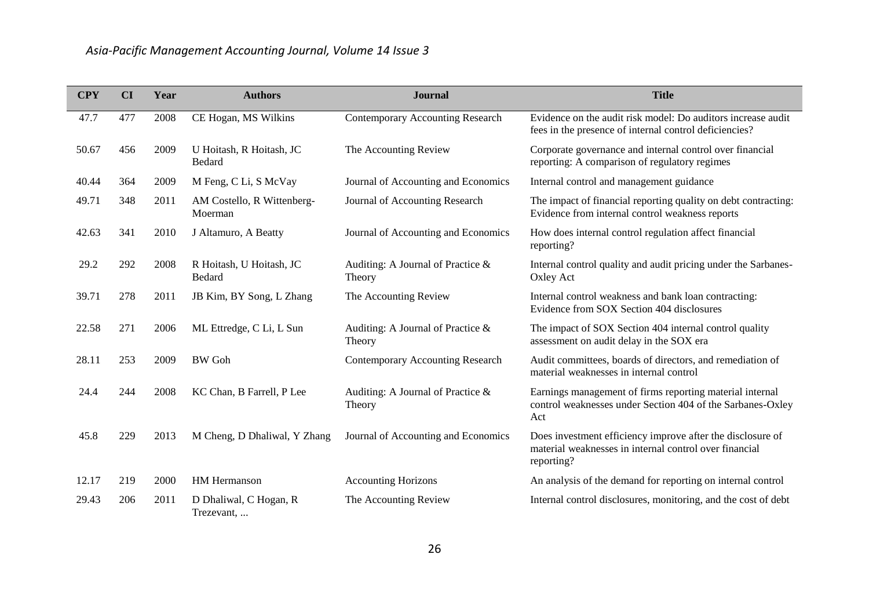| <b>CPY</b> | CI  | Year | <b>Authors</b>                        | <b>Journal</b>                              | <b>Title</b>                                                                                                                       |
|------------|-----|------|---------------------------------------|---------------------------------------------|------------------------------------------------------------------------------------------------------------------------------------|
| 47.7       | 477 | 2008 | CE Hogan, MS Wilkins                  | <b>Contemporary Accounting Research</b>     | Evidence on the audit risk model: Do auditors increase audit<br>fees in the presence of internal control deficiencies?             |
| 50.67      | 456 | 2009 | U Hoitash, R Hoitash, JC<br>Bedard    | The Accounting Review                       | Corporate governance and internal control over financial<br>reporting: A comparison of regulatory regimes                          |
| 40.44      | 364 | 2009 | M Feng, C Li, S McVay                 | Journal of Accounting and Economics         | Internal control and management guidance                                                                                           |
| 49.71      | 348 | 2011 | AM Costello, R Wittenberg-<br>Moerman | Journal of Accounting Research              | The impact of financial reporting quality on debt contracting:<br>Evidence from internal control weakness reports                  |
| 42.63      | 341 | 2010 | J Altamuro, A Beatty                  | Journal of Accounting and Economics         | How does internal control regulation affect financial<br>reporting?                                                                |
| 29.2       | 292 | 2008 | R Hoitash, U Hoitash, JC<br>Bedard    | Auditing: A Journal of Practice &<br>Theory | Internal control quality and audit pricing under the Sarbanes-<br>Oxley Act                                                        |
| 39.71      | 278 | 2011 | JB Kim, BY Song, L Zhang              | The Accounting Review                       | Internal control weakness and bank loan contracting:<br>Evidence from SOX Section 404 disclosures                                  |
| 22.58      | 271 | 2006 | ML Ettredge, C Li, L Sun              | Auditing: A Journal of Practice &<br>Theory | The impact of SOX Section 404 internal control quality<br>assessment on audit delay in the SOX era                                 |
| 28.11      | 253 | 2009 | <b>BW</b> Goh                         | <b>Contemporary Accounting Research</b>     | Audit committees, boards of directors, and remediation of<br>material weaknesses in internal control                               |
| 24.4       | 244 | 2008 | KC Chan, B Farrell, P Lee             | Auditing: A Journal of Practice &<br>Theory | Earnings management of firms reporting material internal<br>control weaknesses under Section 404 of the Sarbanes-Oxley<br>Act      |
| 45.8       | 229 | 2013 | M Cheng, D Dhaliwal, Y Zhang          | Journal of Accounting and Economics         | Does investment efficiency improve after the disclosure of<br>material weaknesses in internal control over financial<br>reporting? |
| 12.17      | 219 | 2000 | <b>HM</b> Hermanson                   | <b>Accounting Horizons</b>                  | An analysis of the demand for reporting on internal control                                                                        |
| 29.43      | 206 | 2011 | D Dhaliwal, C Hogan, R<br>Trezevant,  | The Accounting Review                       | Internal control disclosures, monitoring, and the cost of debt                                                                     |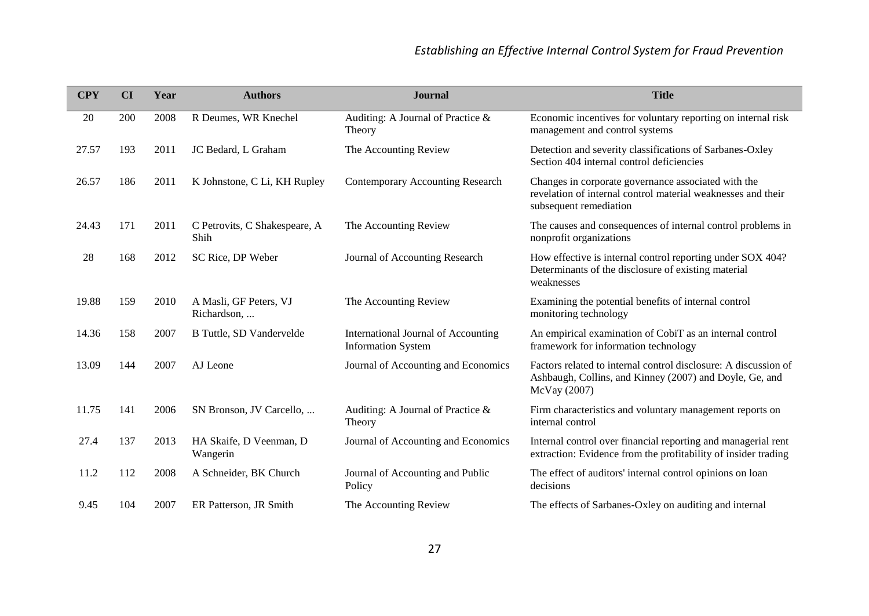| <b>CPY</b> | CI  | Year | <b>Authors</b>                        | <b>Journal</b>                                                   | <b>Title</b>                                                                                                                                  |
|------------|-----|------|---------------------------------------|------------------------------------------------------------------|-----------------------------------------------------------------------------------------------------------------------------------------------|
| 20         | 200 | 2008 | R Deumes, WR Knechel                  | Auditing: A Journal of Practice &<br>Theory                      | Economic incentives for voluntary reporting on internal risk<br>management and control systems                                                |
| 27.57      | 193 | 2011 | JC Bedard, L Graham                   | The Accounting Review                                            | Detection and severity classifications of Sarbanes-Oxley<br>Section 404 internal control deficiencies                                         |
| 26.57      | 186 | 2011 | K Johnstone, C Li, KH Rupley          | <b>Contemporary Accounting Research</b>                          | Changes in corporate governance associated with the<br>revelation of internal control material weaknesses and their<br>subsequent remediation |
| 24.43      | 171 | 2011 | C Petrovits, C Shakespeare, A<br>Shih | The Accounting Review                                            | The causes and consequences of internal control problems in<br>nonprofit organizations                                                        |
| 28         | 168 | 2012 | SC Rice, DP Weber                     | Journal of Accounting Research                                   | How effective is internal control reporting under SOX 404?<br>Determinants of the disclosure of existing material<br>weaknesses               |
| 19.88      | 159 | 2010 | A Masli, GF Peters, VJ<br>Richardson, | The Accounting Review                                            | Examining the potential benefits of internal control<br>monitoring technology                                                                 |
| 14.36      | 158 | 2007 | B Tuttle, SD Vandervelde              | International Journal of Accounting<br><b>Information System</b> | An empirical examination of CobiT as an internal control<br>framework for information technology                                              |
| 13.09      | 144 | 2007 | AJ Leone                              | Journal of Accounting and Economics                              | Factors related to internal control disclosure: A discussion of<br>Ashbaugh, Collins, and Kinney (2007) and Doyle, Ge, and<br>McVay (2007)    |
| 11.75      | 141 | 2006 | SN Bronson, JV Carcello,              | Auditing: A Journal of Practice $\&$<br>Theory                   | Firm characteristics and voluntary management reports on<br>internal control                                                                  |
| 27.4       | 137 | 2013 | HA Skaife, D Veenman, D<br>Wangerin   | Journal of Accounting and Economics                              | Internal control over financial reporting and managerial rent<br>extraction: Evidence from the profitability of insider trading               |
| 11.2       | 112 | 2008 | A Schneider, BK Church                | Journal of Accounting and Public<br>Policy                       | The effect of auditors' internal control opinions on loan<br>decisions                                                                        |
| 9.45       | 104 | 2007 | ER Patterson, JR Smith                | The Accounting Review                                            | The effects of Sarbanes-Oxley on auditing and internal                                                                                        |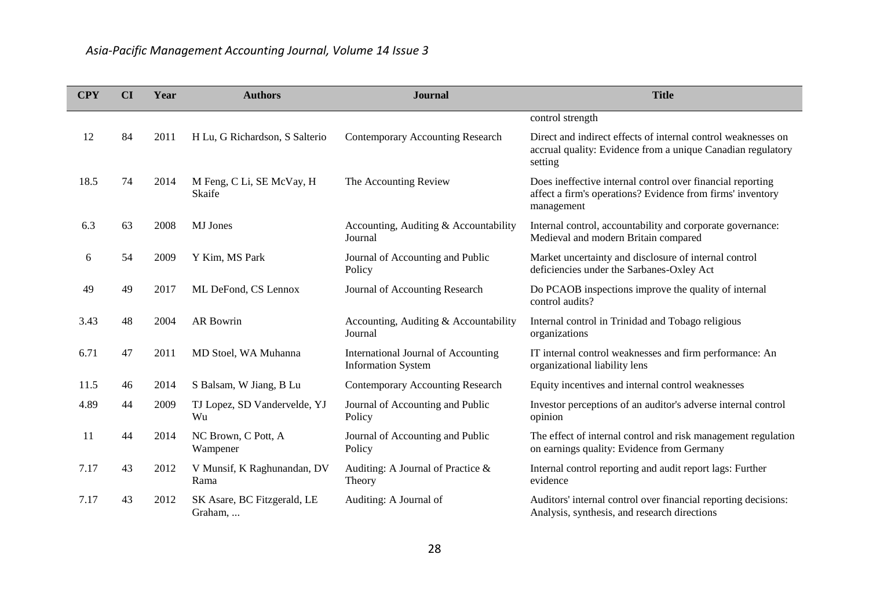| <b>CPY</b> | CI | Year | <b>Authors</b>                         | <b>Journal</b>                                                   | <b>Title</b>                                                                                                                            |
|------------|----|------|----------------------------------------|------------------------------------------------------------------|-----------------------------------------------------------------------------------------------------------------------------------------|
|            |    |      |                                        |                                                                  | control strength                                                                                                                        |
| 12         | 84 | 2011 | H Lu, G Richardson, S Salterio         | <b>Contemporary Accounting Research</b>                          | Direct and indirect effects of internal control weaknesses on<br>accrual quality: Evidence from a unique Canadian regulatory<br>setting |
| 18.5       | 74 | 2014 | M Feng, C Li, SE McVay, H<br>Skaife    | The Accounting Review                                            | Does ineffective internal control over financial reporting<br>affect a firm's operations? Evidence from firms' inventory<br>management  |
| 6.3        | 63 | 2008 | <b>MJ</b> Jones                        | Accounting, Auditing & Accountability<br>Journal                 | Internal control, accountability and corporate governance:<br>Medieval and modern Britain compared                                      |
| 6          | 54 | 2009 | Y Kim, MS Park                         | Journal of Accounting and Public<br>Policy                       | Market uncertainty and disclosure of internal control<br>deficiencies under the Sarbanes-Oxley Act                                      |
| 49         | 49 | 2017 | ML DeFond, CS Lennox                   | Journal of Accounting Research                                   | Do PCAOB inspections improve the quality of internal<br>control audits?                                                                 |
| 3.43       | 48 | 2004 | <b>AR Bowrin</b>                       | Accounting, Auditing & Accountability<br>Journal                 | Internal control in Trinidad and Tobago religious<br>organizations                                                                      |
| 6.71       | 47 | 2011 | MD Stoel, WA Muhanna                   | International Journal of Accounting<br><b>Information System</b> | IT internal control weaknesses and firm performance: An<br>organizational liability lens                                                |
| 11.5       | 46 | 2014 | S Balsam, W Jiang, B Lu                | <b>Contemporary Accounting Research</b>                          | Equity incentives and internal control weaknesses                                                                                       |
| 4.89       | 44 | 2009 | TJ Lopez, SD Vandervelde, YJ<br>Wu     | Journal of Accounting and Public<br>Policy                       | Investor perceptions of an auditor's adverse internal control<br>opinion                                                                |
| 11         | 44 | 2014 | NC Brown, C Pott, A<br>Wampener        | Journal of Accounting and Public<br>Policy                       | The effect of internal control and risk management regulation<br>on earnings quality: Evidence from Germany                             |
| 7.17       | 43 | 2012 | V Munsif, K Raghunandan, DV<br>Rama    | Auditing: A Journal of Practice $\&$<br>Theory                   | Internal control reporting and audit report lags: Further<br>evidence                                                                   |
| 7.17       | 43 | 2012 | SK Asare, BC Fitzgerald, LE<br>Graham, | Auditing: A Journal of                                           | Auditors' internal control over financial reporting decisions:<br>Analysis, synthesis, and research directions                          |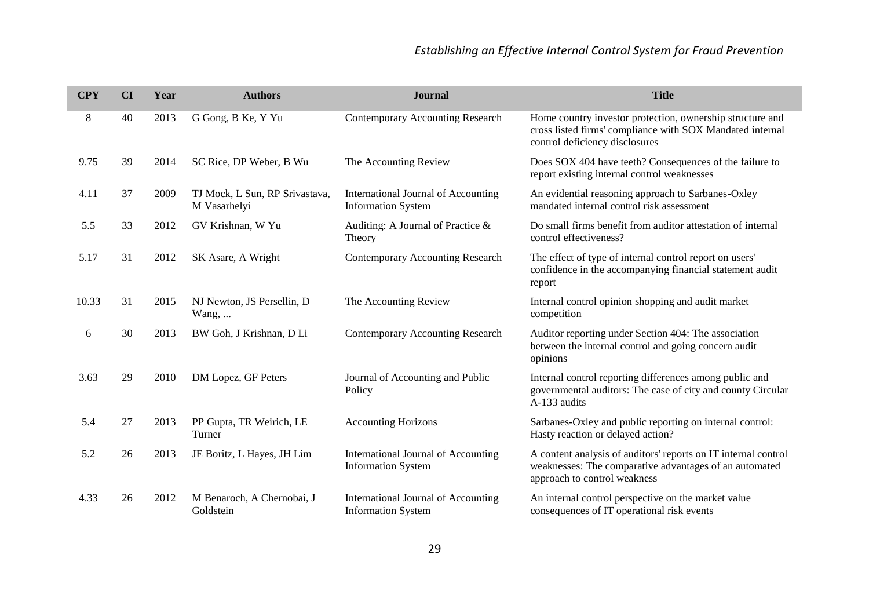| <b>CPY</b> | CI | Year | <b>Authors</b>                                 | <b>Journal</b>                                                   | <b>Title</b>                                                                                                                                             |
|------------|----|------|------------------------------------------------|------------------------------------------------------------------|----------------------------------------------------------------------------------------------------------------------------------------------------------|
| 8          | 40 | 2013 | G Gong, B Ke, Y Yu                             | <b>Contemporary Accounting Research</b>                          | Home country investor protection, ownership structure and<br>cross listed firms' compliance with SOX Mandated internal<br>control deficiency disclosures |
| 9.75       | 39 | 2014 | SC Rice, DP Weber, B Wu                        | The Accounting Review                                            | Does SOX 404 have teeth? Consequences of the failure to<br>report existing internal control weaknesses                                                   |
| 4.11       | 37 | 2009 | TJ Mock, L Sun, RP Srivastava,<br>M Vasarhelyi | International Journal of Accounting<br><b>Information System</b> | An evidential reasoning approach to Sarbanes-Oxley<br>mandated internal control risk assessment                                                          |
| 5.5        | 33 | 2012 | GV Krishnan, W Yu                              | Auditing: A Journal of Practice &<br>Theory                      | Do small firms benefit from auditor attestation of internal<br>control effectiveness?                                                                    |
| 5.17       | 31 | 2012 | SK Asare, A Wright                             | <b>Contemporary Accounting Research</b>                          | The effect of type of internal control report on users'<br>confidence in the accompanying financial statement audit<br>report                            |
| 10.33      | 31 | 2015 | NJ Newton, JS Persellin, D<br>Wang, $\dots$    | The Accounting Review                                            | Internal control opinion shopping and audit market<br>competition                                                                                        |
| 6          | 30 | 2013 | BW Goh, J Krishnan, D Li                       | <b>Contemporary Accounting Research</b>                          | Auditor reporting under Section 404: The association<br>between the internal control and going concern audit<br>opinions                                 |
| 3.63       | 29 | 2010 | DM Lopez, GF Peters                            | Journal of Accounting and Public<br>Policy                       | Internal control reporting differences among public and<br>governmental auditors: The case of city and county Circular<br>A-133 audits                   |
| 5.4        | 27 | 2013 | PP Gupta, TR Weirich, LE<br>Turner             | <b>Accounting Horizons</b>                                       | Sarbanes-Oxley and public reporting on internal control:<br>Hasty reaction or delayed action?                                                            |
| 5.2        | 26 | 2013 | JE Boritz, L Hayes, JH Lim                     | International Journal of Accounting<br><b>Information System</b> | A content analysis of auditors' reports on IT internal control<br>weaknesses: The comparative advantages of an automated<br>approach to control weakness |
| 4.33       | 26 | 2012 | M Benaroch, A Chernobai, J<br>Goldstein        | International Journal of Accounting<br><b>Information System</b> | An internal control perspective on the market value<br>consequences of IT operational risk events                                                        |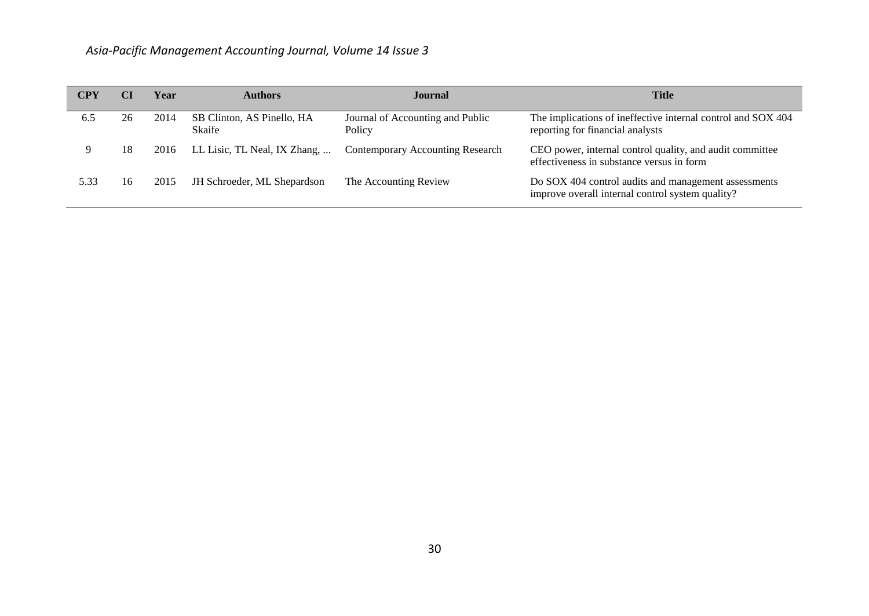| CPY  | CI | Year | <b>Authors</b>                       | Journal                                    | <b>Title</b>                                                                                             |
|------|----|------|--------------------------------------|--------------------------------------------|----------------------------------------------------------------------------------------------------------|
| 6.5  | 26 | 2014 | SB Clinton, AS Pinello, HA<br>Skaife | Journal of Accounting and Public<br>Policy | The implications of ineffective internal control and SOX 404<br>reporting for financial analysts         |
| 9    | 18 | 2016 | LL Lisic, TL Neal, IX Zhang,         | <b>Contemporary Accounting Research</b>    | CEO power, internal control quality, and audit committee<br>effectiveness in substance versus in form    |
| 5.33 | 16 | 2015 | JH Schroeder, ML Shepardson          | The Accounting Review                      | Do SOX 404 control audits and management assessments<br>improve overall internal control system quality? |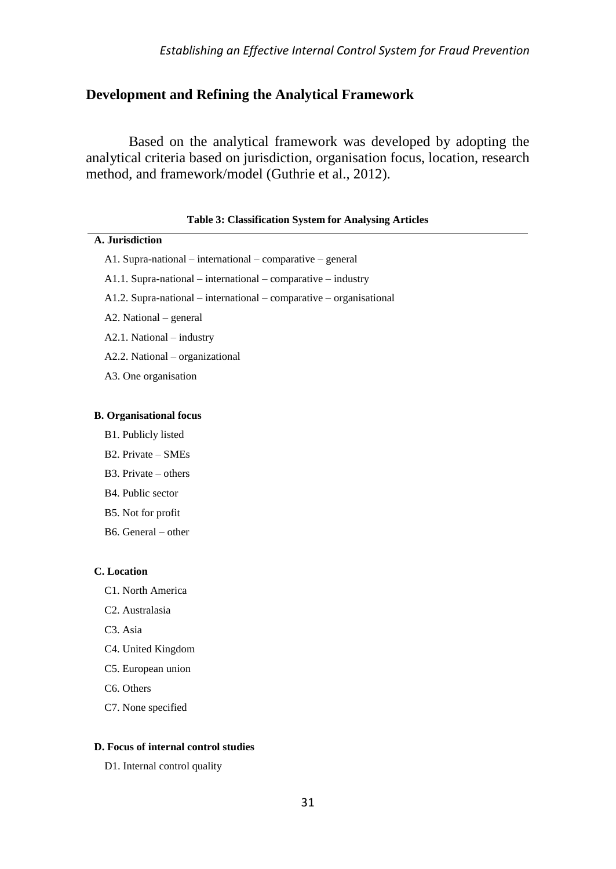## **Development and Refining the Analytical Framework**

Based on the analytical framework was developed by adopting the analytical criteria based on jurisdiction, organisation focus, location, research method, and framework/model (Guthrie et al., 2012).

#### **Table 3: Classification System for Analysing Articles**

### **A. Jurisdiction**

- A1. Supra-national international comparative general
- A1.1. Supra-national international comparative industry
- A1.2. Supra-national international comparative organisational
- A2. National general
- A2.1. National industry
- A2.2. National organizational
- A3. One organisation

#### **B. Organisational focus**

- B1. Publicly listed
- B2. Private SMEs
- B3. Private others
- B4. Public sector
- B5. Not for profit
- B6. General other

#### **C. Location**

- C1. North America
- C2. Australasia
- C3. Asia
- C4. United Kingdom
- C5. European union
- C6. Others
- C7. None specified

### **D. Focus of internal control studies**

D1. Internal control quality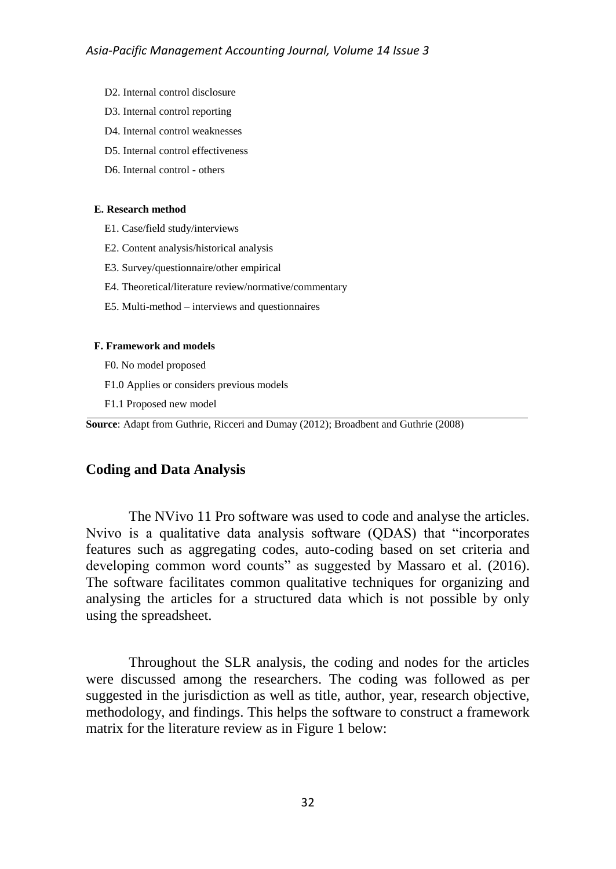- D2. Internal control disclosure
- D3. Internal control reporting
- D4. Internal control weaknesses
- D5. Internal control effectiveness
- D6. Internal control others

### **E. Research method**

- E1. Case/field study/interviews
- E2. Content analysis/historical analysis
- E3. Survey/questionnaire/other empirical
- E4. Theoretical/literature review/normative/commentary
- E5. Multi-method interviews and questionnaires

#### **F. Framework and models**

- F0. No model proposed
- F1.0 Applies or considers previous models
- F1.1 Proposed new model

**Source**: Adapt from Guthrie, Ricceri and Dumay (2012); Broadbent and Guthrie (2008)

## **Coding and Data Analysis**

The NVivo 11 Pro software was used to code and analyse the articles. Nvivo is a qualitative data analysis software (QDAS) that "incorporates features such as aggregating codes, auto-coding based on set criteria and developing common word counts" as suggested by Massaro et al. (2016). The software facilitates common qualitative techniques for organizing and analysing the articles for a structured data which is not possible by only using the spreadsheet.

Throughout the SLR analysis, the coding and nodes for the articles were discussed among the researchers. The coding was followed as per suggested in the jurisdiction as well as title, author, year, research objective, methodology, and findings. This helps the software to construct a framework matrix for the literature review as in [Figure 1](#page-14-0) below: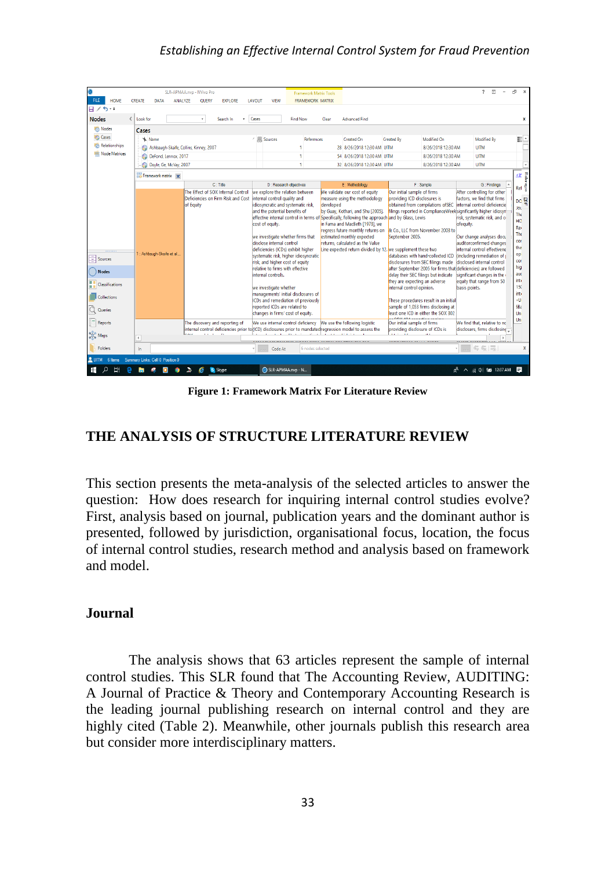## *Establishing an Effective Internal Control System for Fraud Prevention*

| ⊕                                                |                                         | SLR-APMAA.nvp - NVivo Pro                                                                                 |                                                                                                                    | <b>Framework Matrix Tools</b> |           |                                                                 |                                                             |                                                                            | 团<br>7                                                                                       |                        |
|--------------------------------------------------|-----------------------------------------|-----------------------------------------------------------------------------------------------------------|--------------------------------------------------------------------------------------------------------------------|-------------------------------|-----------|-----------------------------------------------------------------|-------------------------------------------------------------|----------------------------------------------------------------------------|----------------------------------------------------------------------------------------------|------------------------|
| <b>FILE</b><br><b>HOME</b>                       | <b>ANALYZE</b><br><b>CREATE</b><br>DATA | <b>EXPLORE</b><br><b>QUERY</b>                                                                            | LAYOUT<br>VIEW                                                                                                     | <b>FRAMEWORK MATRIX</b>       |           |                                                                 |                                                             |                                                                            |                                                                                              |                        |
| 日ノち・・                                            |                                         |                                                                                                           |                                                                                                                    |                               |           |                                                                 |                                                             |                                                                            |                                                                                              |                        |
| <b>Nodes</b><br>$\epsilon$                       | Look for                                | Search In                                                                                                 | Cases                                                                                                              | <b>Find Now</b>               | Clear     | <b>Advanced Find</b>                                            |                                                             |                                                                            |                                                                                              | x                      |
| Nodes                                            | Cases                                   |                                                                                                           |                                                                                                                    |                               |           |                                                                 |                                                             |                                                                            |                                                                                              |                        |
| Cases                                            | <b>W</b> . Name                         |                                                                                                           | Sources                                                                                                            | References                    |           | Created On                                                      | Created By                                                  | Modified On                                                                | Modified By                                                                                  | Шċ                     |
| <b>Relationships</b><br><b>IRR Node Matrices</b> | Ashbaugh-Skaife, Collins, Kinney, 2007  |                                                                                                           |                                                                                                                    |                               |           | 28 8/26/2018 12:30 AM UITM                                      |                                                             | 8/26/2018 12:30 AM                                                         | <b>UITM</b>                                                                                  |                        |
|                                                  | DeFond, Lennox, 2017                    |                                                                                                           |                                                                                                                    |                               |           | 54 8/26/2018 12:30 AM UITM                                      |                                                             | 8/26/2018 12:30 AM                                                         | <b>UITM</b>                                                                                  |                        |
|                                                  | Doyle, Ge, McVay, 2007                  |                                                                                                           |                                                                                                                    | ٠                             |           | 32 8/26/2018 12:30 AM UITM                                      |                                                             | 8/26/2018 12:30 AM                                                         | <b>UITM</b>                                                                                  | ⋤                      |
|                                                  | Framework matrix X                      |                                                                                                           |                                                                                                                    |                               |           |                                                                 |                                                             |                                                                            |                                                                                              | $\leq$<br>Rafe         |
|                                                  |                                         | $C:$ Title                                                                                                | D: Research objectives                                                                                             |                               |           | E: Methodology                                                  |                                                             | F: Sample                                                                  | G: Findings                                                                                  | å<br>Ref               |
|                                                  |                                         | The Effect of SOX Internal Control<br>Deficiencies on Firm Risk and Cost                                  | we explore the relation between<br>internal control quality and                                                    |                               |           | We validate our cost of equity<br>measure using the methodology | Our initial sample of firms<br>providing ICD disclosures is |                                                                            | After controlling for other<br>factors, we find that firms                                   |                        |
|                                                  |                                         | of Equity                                                                                                 | idiosyncratic and systematic risk.                                                                                 |                               | developed |                                                                 |                                                             | obtained from compilations ofSEC                                           | internal control deficiencie                                                                 | DC <sup>B</sup><br>Jot |
|                                                  |                                         |                                                                                                           | and the potential benefits of                                                                                      |                               |           | by Guay, Kothari, and Shu [2005].                               |                                                             |                                                                            | filings reported in ComplianceWeeksignificantly higher idiosyn-                              | The                    |
|                                                  |                                         |                                                                                                           | effective internal control in terms of Specifically, following the approach and by Glass, Lewis<br>cost of eauity. |                               |           | in Fama and MacBeth [1973], we                                  |                                                             |                                                                            | risk, systematic risk, and co<br>ofeguity.                                                   | HC                     |
|                                                  |                                         |                                                                                                           |                                                                                                                    |                               |           | regress future monthly returns on                               |                                                             | & Co., LLC from November 2003 to                                           |                                                                                              | Rei<br>The             |
|                                                  |                                         |                                                                                                           | we investigate whether firms that<br>disclose internal control                                                     |                               |           | estimated monthly expected<br>returns, calculated as the Value  | September 2005.                                             |                                                                            | Our change analyses docu<br>auditorconfirmed changes                                         | COI                    |
|                                                  |                                         |                                                                                                           | deficiencies (ICDs) exhibit higher                                                                                 |                               |           | Line expected return divided by 12, we supplement these two     |                                                             |                                                                            | internal control effectivene                                                                 | tha                    |
| ÷<br>Sources                                     | 1 : Ashbaugh-Skaife et al               |                                                                                                           | systematic risk, higher idiosyncratic                                                                              |                               |           |                                                                 |                                                             | databases with hand-collected ICD                                          | (including remediation of i                                                                  | op<br>COI              |
|                                                  |                                         |                                                                                                           | risk, and higher cost of equity<br>relative to firms with effective                                                |                               |           |                                                                 |                                                             | disclosures from SEC filings made                                          | disclosed internal control<br>after September 2005 for firms that deficiencies) are followed | hiq                    |
| <b>Nodes</b>                                     |                                         |                                                                                                           | internal controls.                                                                                                 |                               |           |                                                                 |                                                             | delay their SEC filings but indicate                                       | significant changes in the                                                                   | au                     |
| Classifications                                  |                                         |                                                                                                           | we investigate whether                                                                                             |                               |           |                                                                 | they are expecting an adverse<br>internal control opinion.  |                                                                            | equity that range from 50<br>basis points.                                                   | int.<br>150            |
|                                                  |                                         |                                                                                                           | managements' initial disclosures of                                                                                |                               |           |                                                                 |                                                             |                                                                            |                                                                                              | int.                   |
| Collections                                      |                                         |                                                                                                           | <b>CDs and remediation of previously</b>                                                                           |                               |           |                                                                 |                                                             | These procedures result in an initial                                      |                                                                                              | ٠U                     |
| Queries                                          |                                         |                                                                                                           | reported ICDs are related to<br>changes in firms' cost of equity.                                                  |                               |           |                                                                 |                                                             | sample of 1.053 firms disclosing at<br>least one ICD in either the SOX 302 |                                                                                              | <b>SB</b><br>Un        |
| Reports                                          |                                         | The discovery and reporting of                                                                            | We use internal control deficiency                                                                                 |                               |           | We use the following logistic                                   | Our initial sample of firms                                 |                                                                            | We find that, relative to nc                                                                 | Un                     |
|                                                  |                                         | internal control deficiencies prior to (ICD) disclosures prior to mandated regression model to assess the |                                                                                                                    |                               |           |                                                                 | providing disclosure of ICDs is                             |                                                                            | disclosers, firms disclosing                                                                 |                        |
| X Maps                                           | $\overline{\phantom{a}}$                |                                                                                                           |                                                                                                                    |                               |           |                                                                 | . <i>.</i> .                                                |                                                                            |                                                                                              |                        |
| Folders                                          | In.                                     |                                                                                                           | Code At                                                                                                            | 6 nodes selected              |           |                                                                 |                                                             |                                                                            | 每 4   1                                                                                      | X                      |
| $2$ UITM<br>6 Items                              | Summary Links: Cell 0 Position 0        |                                                                                                           |                                                                                                                    |                               |           |                                                                 |                                                             |                                                                            |                                                                                              |                        |
| Ω<br>Ŧ                                           |                                         | S Skype                                                                                                   | SLR-APMAA.nvp - N                                                                                                  |                               |           |                                                                 |                                                             | ዺ                                                                          | $\land$ $\mathcal{C}$ $\phi$ $\mathcal{C}$ 12:37 AM                                          | ≣                      |

**Figure 1: Framework Matrix For Literature Review**

## <span id="page-14-0"></span>**THE ANALYSIS OF STRUCTURE LITERATURE REVIEW**

This section presents the meta-analysis of the selected articles to answer the question: How does research for inquiring internal control studies evolve? First, analysis based on journal, publication years and the dominant author is presented, followed by jurisdiction, organisational focus, location, the focus of internal control studies, research method and analysis based on framework and model.

### **Journal**

The analysis shows that 63 articles represent the sample of internal control studies. This SLR found that The Accounting Review, AUDITING: A Journal of Practice & Theory and Contemporary Accounting Research is the leading journal publishing research on internal control and they are highly cited [\(Table 2\)](#page-6-0). Meanwhile, other journals publish this research area but consider more interdisciplinary matters.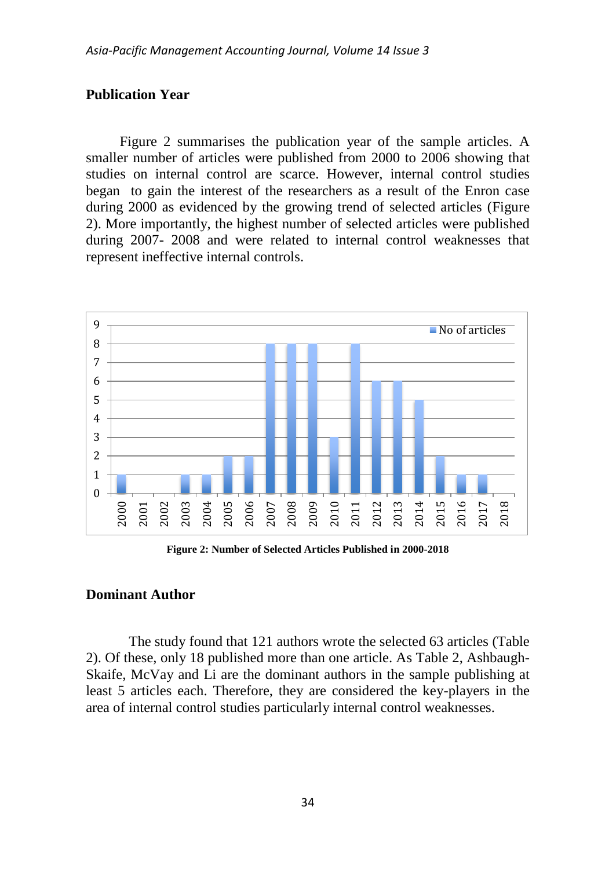## **Publication Year**

[Figure 2](#page-15-0) summarises the publication year of the sample articles. A smaller number of articles were published from 2000 to 2006 showing that studies on internal control are scarce. However, internal control studies began to gain the interest of the researchers as a result of the Enron case during 2000 as evidenced by the growing trend of selected articles [\(Figure](#page-15-0)  [2\)](#page-15-0). More importantly, the highest number of selected articles were published during 2007- 2008 and were related to internal control weaknesses that represent ineffective internal controls.



**Figure 2: Number of Selected Articles Published in 2000-2018**

## <span id="page-15-0"></span>**Dominant Author**

The study found that 121 authors wrote the selected 63 articles [\(Table](#page-6-0)  [2\)](#page-6-0). Of these, only 18 published more than one article. As [Table 2,](#page-6-0) Ashbaugh-Skaife, McVay and Li are the dominant authors in the sample publishing at least 5 articles each. Therefore, they are considered the key-players in the area of internal control studies particularly internal control weaknesses.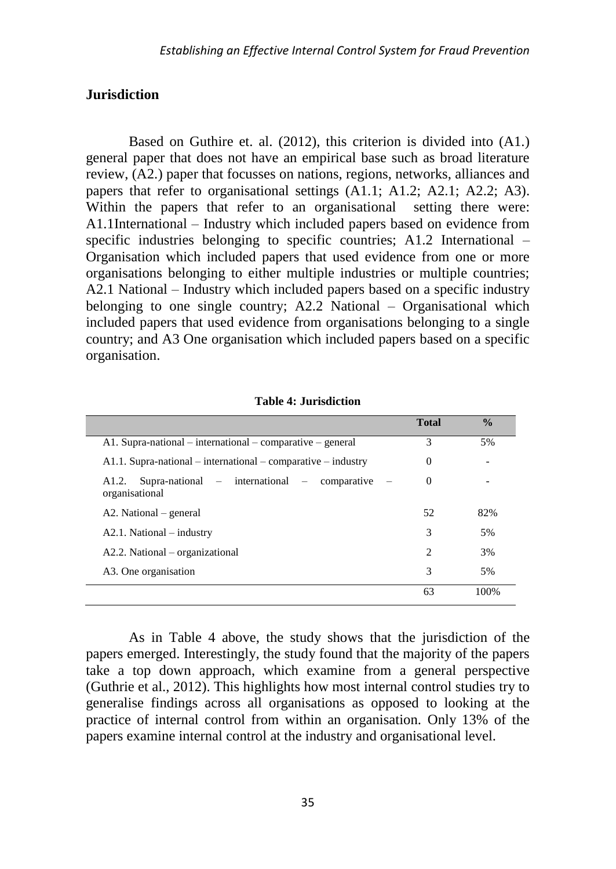## **Jurisdiction**

Based on Guthire et. al. (2012), this criterion is divided into (A1.) general paper that does not have an empirical base such as broad literature review, (A2.) paper that focusses on nations, regions, networks, alliances and papers that refer to organisational settings (A1.1; A1.2; A2.1; A2.2; A3). Within the papers that refer to an organisational setting there were: A1.1International – Industry which included papers based on evidence from specific industries belonging to specific countries; A1.2 International – Organisation which included papers that used evidence from one or more organisations belonging to either multiple industries or multiple countries; A2.1 National – Industry which included papers based on a specific industry belonging to one single country; A2.2 National – Organisational which included papers that used evidence from organisations belonging to a single country; and A3 One organisation which included papers based on a specific organisation.

|                                                                            | <b>Total</b>   | $\frac{0}{0}$ |
|----------------------------------------------------------------------------|----------------|---------------|
| $A1.$ Supra-national – international – comparative – general               | 3              | 5%            |
| $A1.1.$ Supra-national – international – comparative – industry            | 0              |               |
| $Supra$ -national – international – comparative<br>A1.2.<br>organisational | $\theta$       |               |
| A2. National                                                               | 52             | 82%           |
| $A2.1. National - industry$                                                | 3              | .5%           |
| A2.2. National – organizational                                            | $\mathfrak{D}$ | 3%            |
| A3. One organisation                                                       | 3              | 5%            |
|                                                                            | 63             | 100%          |

**Table 4: Jurisdiction**

As in Table 4 above, the study shows that the jurisdiction of the papers emerged. Interestingly, the study found that the majority of the papers take a top down approach, which examine from a general perspective (Guthrie et al., 2012). This highlights how most internal control studies try to generalise findings across all organisations as opposed to looking at the practice of internal control from within an organisation. Only 13% of the papers examine internal control at the industry and organisational level.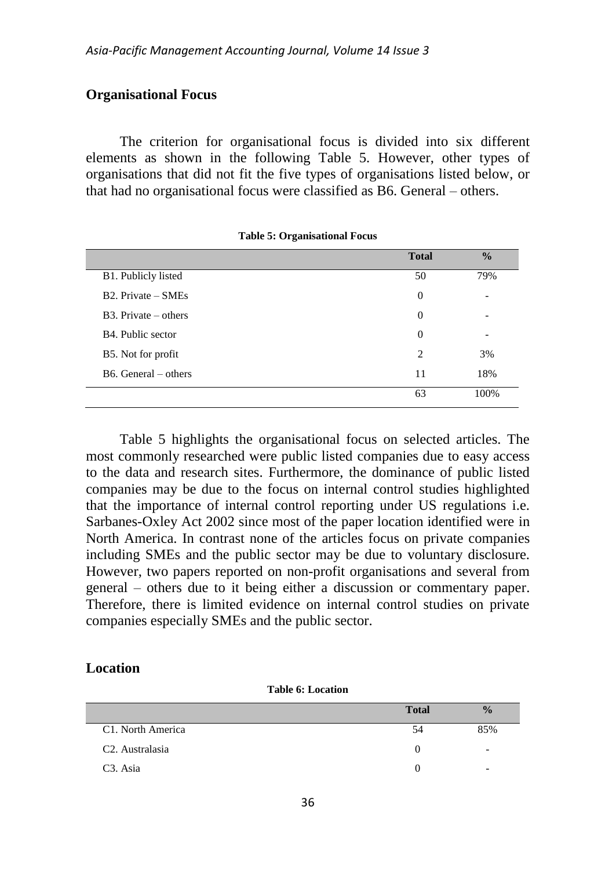### **Organisational Focus**

The criterion for organisational focus is divided into six different elements as shown in the following Table 5. However, other types of organisations that did not fit the five types of organisations listed below, or that had no organisational focus were classified as B6. General – others.

|                                | <b>Total</b>   | $\frac{0}{0}$ |
|--------------------------------|----------------|---------------|
| B1. Publicly listed            | 50             | 79%           |
| $B2.$ Private $-$ SMEs         | $\overline{0}$ | -             |
| $B3. Private - others$         | $\overline{0}$ |               |
| B <sub>4</sub> . Public sector | $\overline{0}$ |               |
| B5. Not for profit             | $\overline{c}$ | 3%            |
| $B6.$ General – others         | 11             | 18%           |
|                                | 63             | 100%          |

**Table 5: Organisational Focus**

Table 5 highlights the organisational focus on selected articles. The most commonly researched were public listed companies due to easy access to the data and research sites. Furthermore, the dominance of public listed companies may be due to the focus on internal control studies highlighted that the importance of internal control reporting under US regulations i.e. Sarbanes-Oxley Act 2002 since most of the paper location identified were in North America. In contrast none of the articles focus on private companies including SMEs and the public sector may be due to voluntary disclosure. However, two papers reported on non-profit organisations and several from general – others due to it being either a discussion or commentary paper. Therefore, there is limited evidence on internal control studies on private companies especially SMEs and the public sector.

## **Location**

**Table 6: Location**

|                              | <b>Total</b> | $\frac{0}{0}$            |
|------------------------------|--------------|--------------------------|
| C1. North America            | 54           | 85%                      |
| C <sub>2</sub> . Australasia |              | $\overline{\phantom{0}}$ |
| C3. Asia                     |              | $\overline{\phantom{0}}$ |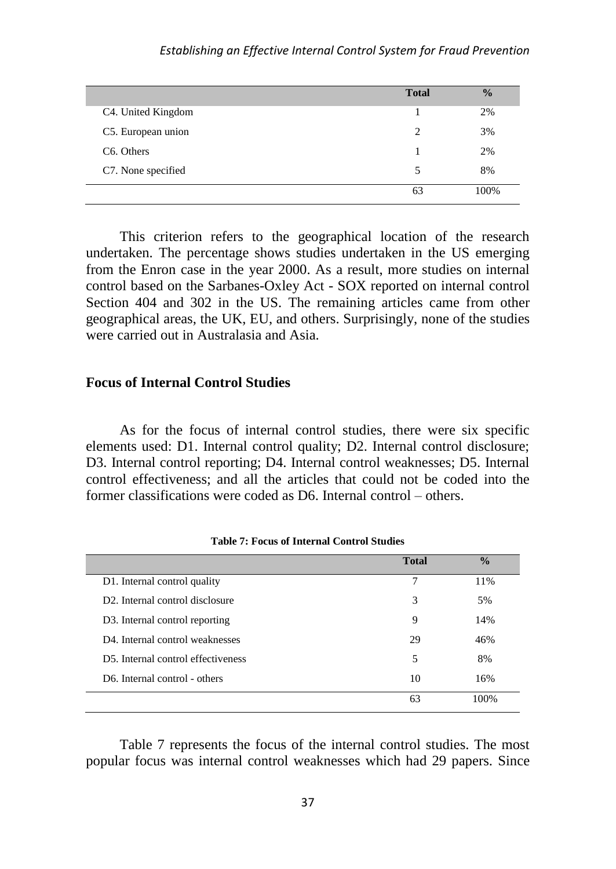|                         | <b>Total</b>   | $\frac{0}{0}$ |
|-------------------------|----------------|---------------|
| C4. United Kingdom      |                | 2%            |
| C5. European union      | $\mathfrak{D}$ | 3%            |
| C <sub>6</sub> . Others |                | 2%            |
| C7. None specified      | 5              | 8%            |
|                         | 63             | 100%          |

This criterion refers to the geographical location of the research undertaken. The percentage shows studies undertaken in the US emerging from the Enron case in the year 2000. As a result, more studies on internal control based on the Sarbanes-Oxley Act - SOX reported on internal control Section 404 and 302 in the US. The remaining articles came from other geographical areas, the UK, EU, and others. Surprisingly, none of the studies were carried out in Australasia and Asia.

### **Focus of Internal Control Studies**

As for the focus of internal control studies, there were six specific elements used: D1. Internal control quality; D2. Internal control disclosure; D3. Internal control reporting; D4. Internal control weaknesses; D5. Internal control effectiveness; and all the articles that could not be coded into the former classifications were coded as D6. Internal control – others.

|                                              | <b>Total</b> | $\frac{0}{0}$ |
|----------------------------------------------|--------------|---------------|
| D1. Internal control quality                 | 7            | 11%           |
| D <sub>2</sub> . Internal control disclosure | 3            | 5%            |
| D <sub>3</sub> . Internal control reporting  | 9            | 14%           |
| D4. Internal control weaknesses              | 29           | 46%           |
| D5. Internal control effectiveness           | 5            | 8%            |
| D6. Internal control - others                | 10           | 16%           |
|                                              | 63           | 100%          |

**Table 7: Focus of Internal Control Studies**

Table 7 represents the focus of the internal control studies. The most popular focus was internal control weaknesses which had 29 papers. Since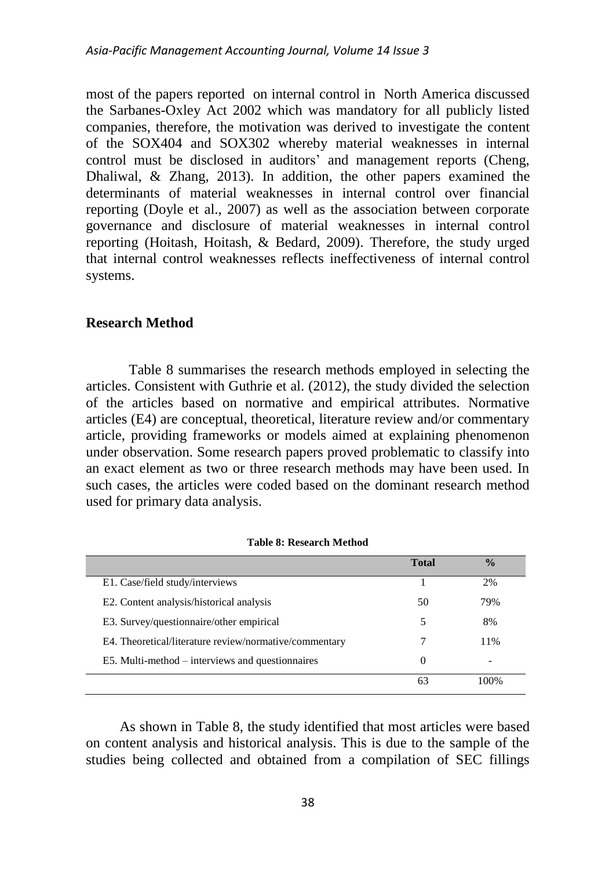most of the papers reported on internal control in North America discussed the Sarbanes-Oxley Act 2002 which was mandatory for all publicly listed companies, therefore, the motivation was derived to investigate the content of the SOX404 and SOX302 whereby material weaknesses in internal control must be disclosed in auditors' and management reports (Cheng, Dhaliwal, & Zhang, 2013). In addition, the other papers examined the determinants of material weaknesses in internal control over financial reporting (Doyle et al., 2007) as well as the association between corporate governance and disclosure of material weaknesses in internal control reporting (Hoitash, Hoitash, & Bedard, 2009). Therefore, the study urged that internal control weaknesses reflects ineffectiveness of internal control systems.

### **Research Method**

Table 8 summarises the research methods employed in selecting the articles. Consistent with Guthrie et al. (2012), the study divided the selection of the articles based on normative and empirical attributes. Normative articles (E4) are conceptual, theoretical, literature review and/or commentary article, providing frameworks or models aimed at explaining phenomenon under observation. Some research papers proved problematic to classify into an exact element as two or three research methods may have been used. In such cases, the articles were coded based on the dominant research method used for primary data analysis.

| Table 8: Research Method |
|--------------------------|
|--------------------------|

|                                                        | <b>Total</b> | $\frac{0}{0}$ |
|--------------------------------------------------------|--------------|---------------|
| E1. Case/field study/interviews                        |              | 2%            |
| E2. Content analysis/historical analysis               | 50           | 79%           |
| E3. Survey/questionnaire/other empirical               | 5            | 8%            |
| E4. Theoretical/literature review/normative/commentary |              | 11%           |
| E5. Multi-method – interviews and questionnaires       | $\theta$     |               |
|                                                        |              | 100%          |

As shown in Table 8, the study identified that most articles were based on content analysis and historical analysis. This is due to the sample of the studies being collected and obtained from a compilation of SEC fillings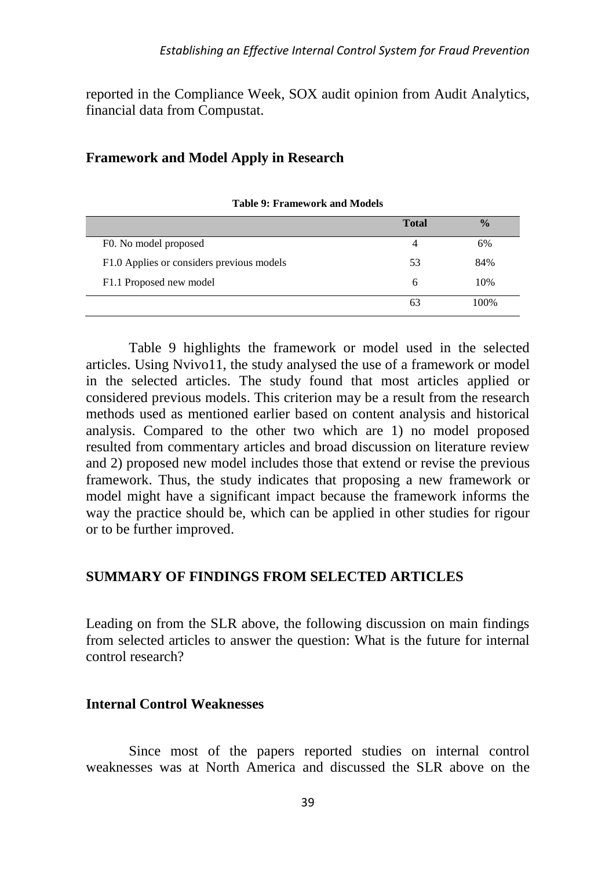reported in the Compliance Week, SOX audit opinion from Audit Analytics, financial data from Compustat.

## **Framework and Model Apply in Research**

|                                           | <b>Total</b> | $\frac{0}{0}$ |
|-------------------------------------------|--------------|---------------|
| F0. No model proposed                     | 4            | 6%            |
| F1.0 Applies or considers previous models | 53           | 84%           |
| F1.1 Proposed new model                   | 6            | 10%           |
|                                           | 63           | 100%          |

**Table 9: Framework and Models**

Table 9 highlights the framework or model used in the selected articles. Using Nvivo11, the study analysed the use of a framework or model in the selected articles. The study found that most articles applied or considered previous models. This criterion may be a result from the research methods used as mentioned earlier based on content analysis and historical analysis. Compared to the other two which are 1) no model proposed resulted from commentary articles and broad discussion on literature review and 2) proposed new model includes those that extend or revise the previous framework. Thus, the study indicates that proposing a new framework or model might have a significant impact because the framework informs the way the practice should be, which can be applied in other studies for rigour or to be further improved.

## **SUMMARY OF FINDINGS FROM SELECTED ARTICLES**

Leading on from the SLR above, the following discussion on main findings from selected articles to answer the question: What is the future for internal control research?

## **Internal Control Weaknesses**

Since most of the papers reported studies on internal control weaknesses was at North America and discussed the SLR above on the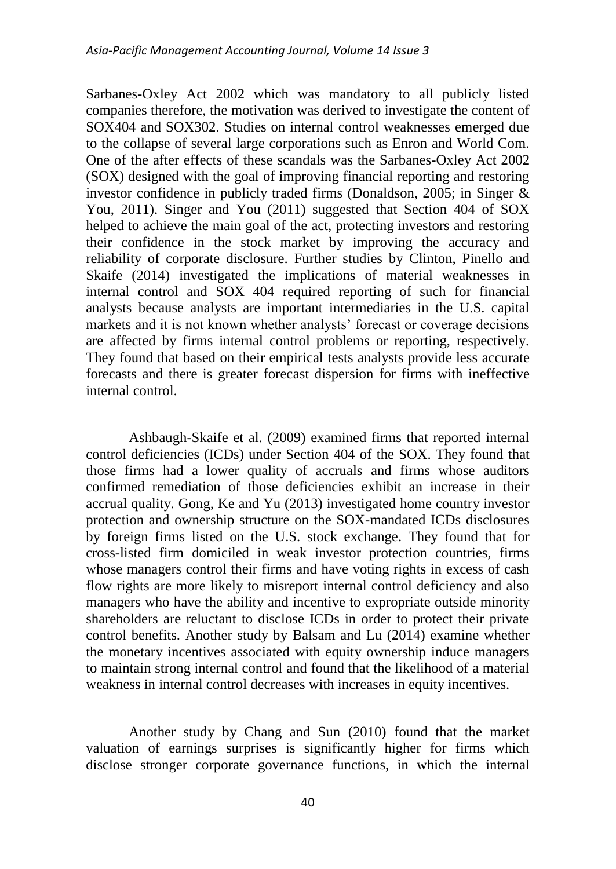Sarbanes-Oxley Act 2002 which was mandatory to all publicly listed companies therefore, the motivation was derived to investigate the content of SOX404 and SOX302. Studies on internal control weaknesses emerged due to the collapse of several large corporations such as Enron and World Com. One of the after effects of these scandals was the Sarbanes-Oxley Act 2002 (SOX) designed with the goal of improving financial reporting and restoring investor confidence in publicly traded firms (Donaldson, 2005; in Singer & You, 2011). Singer and You (2011) suggested that Section 404 of SOX helped to achieve the main goal of the act, protecting investors and restoring their confidence in the stock market by improving the accuracy and reliability of corporate disclosure. Further studies by Clinton, Pinello and Skaife (2014) investigated the implications of material weaknesses in internal control and SOX 404 required reporting of such for financial analysts because analysts are important intermediaries in the U.S. capital markets and it is not known whether analysts' forecast or coverage decisions are affected by firms internal control problems or reporting, respectively. They found that based on their empirical tests analysts provide less accurate forecasts and there is greater forecast dispersion for firms with ineffective internal control.

Ashbaugh-Skaife et al. (2009) examined firms that reported internal control deficiencies (ICDs) under Section 404 of the SOX. They found that those firms had a lower quality of accruals and firms whose auditors confirmed remediation of those deficiencies exhibit an increase in their accrual quality. Gong, Ke and Yu (2013) investigated home country investor protection and ownership structure on the SOX-mandated ICDs disclosures by foreign firms listed on the U.S. stock exchange. They found that for cross-listed firm domiciled in weak investor protection countries, firms whose managers control their firms and have voting rights in excess of cash flow rights are more likely to misreport internal control deficiency and also managers who have the ability and incentive to expropriate outside minority shareholders are reluctant to disclose ICDs in order to protect their private control benefits. Another study by Balsam and Lu (2014) examine whether the monetary incentives associated with equity ownership induce managers to maintain strong internal control and found that the likelihood of a material weakness in internal control decreases with increases in equity incentives.

Another study by Chang and Sun (2010) found that the market valuation of earnings surprises is significantly higher for firms which disclose stronger corporate governance functions, in which the internal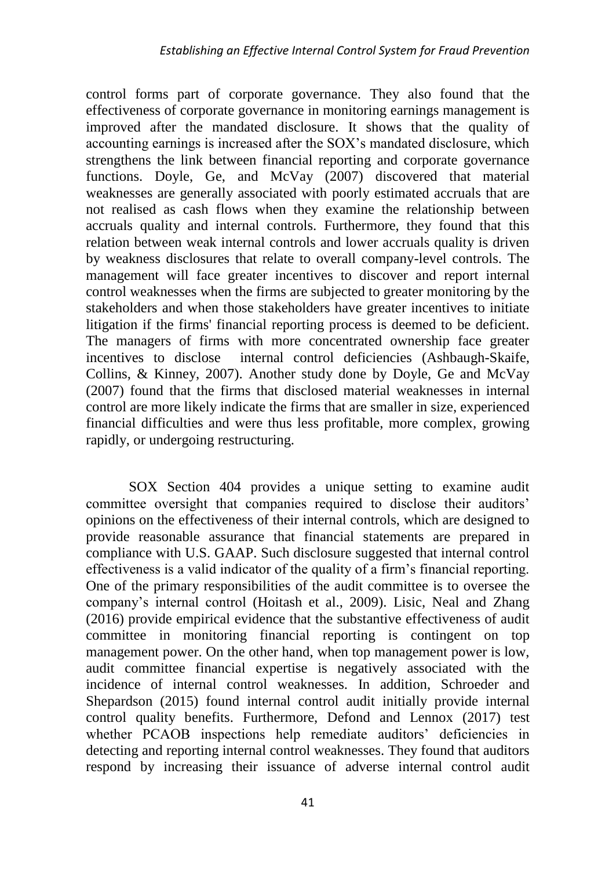control forms part of corporate governance. They also found that the effectiveness of corporate governance in monitoring earnings management is improved after the mandated disclosure. It shows that the quality of accounting earnings is increased after the SOX's mandated disclosure, which strengthens the link between financial reporting and corporate governance functions. Doyle, Ge, and McVay (2007) discovered that material weaknesses are generally associated with poorly estimated accruals that are not realised as cash flows when they examine the relationship between accruals quality and internal controls. Furthermore, they found that this relation between weak internal controls and lower accruals quality is driven by weakness disclosures that relate to overall company-level controls. The management will face greater incentives to discover and report internal control weaknesses when the firms are subjected to greater monitoring by the stakeholders and when those stakeholders have greater incentives to initiate litigation if the firms' financial reporting process is deemed to be deficient. The managers of firms with more concentrated ownership face greater incentives to disclose internal control deficiencies (Ashbaugh-Skaife, Collins, & Kinney, 2007). Another study done by Doyle, Ge and McVay (2007) found that the firms that disclosed material weaknesses in internal control are more likely indicate the firms that are smaller in size, experienced financial difficulties and were thus less profitable, more complex, growing rapidly, or undergoing restructuring.

SOX Section 404 provides a unique setting to examine audit committee oversight that companies required to disclose their auditors' opinions on the effectiveness of their internal controls, which are designed to provide reasonable assurance that financial statements are prepared in compliance with U.S. GAAP. Such disclosure suggested that internal control effectiveness is a valid indicator of the quality of a firm's financial reporting. One of the primary responsibilities of the audit committee is to oversee the company's internal control (Hoitash et al., 2009). Lisic, Neal and Zhang (2016) provide empirical evidence that the substantive effectiveness of audit committee in monitoring financial reporting is contingent on top management power. On the other hand, when top management power is low, audit committee financial expertise is negatively associated with the incidence of internal control weaknesses. In addition, Schroeder and Shepardson (2015) found internal control audit initially provide internal control quality benefits. Furthermore, Defond and Lennox (2017) test whether PCAOB inspections help remediate auditors' deficiencies in detecting and reporting internal control weaknesses. They found that auditors respond by increasing their issuance of adverse internal control audit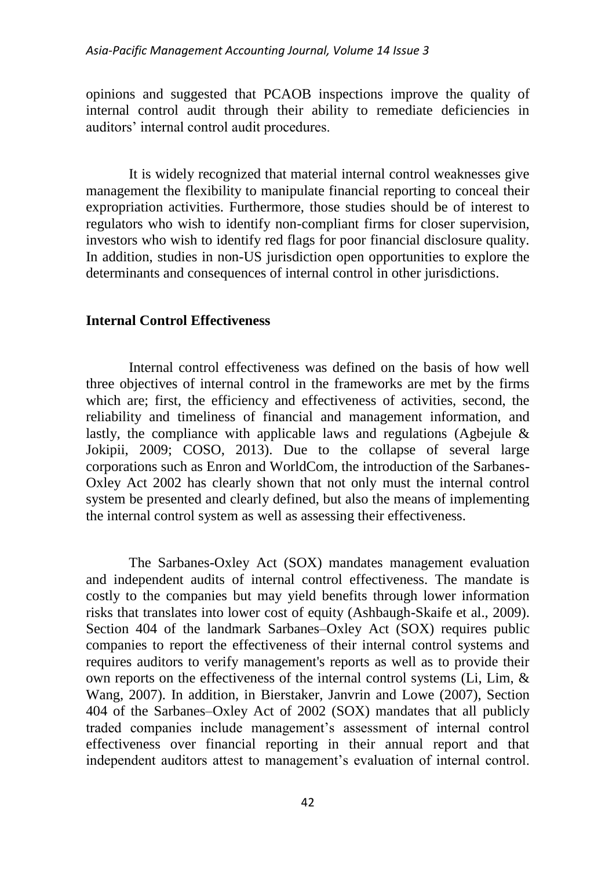opinions and suggested that PCAOB inspections improve the quality of internal control audit through their ability to remediate deficiencies in auditors' internal control audit procedures.

It is widely recognized that material internal control weaknesses give management the flexibility to manipulate financial reporting to conceal their expropriation activities. Furthermore, those studies should be of interest to regulators who wish to identify non-compliant firms for closer supervision, investors who wish to identify red flags for poor financial disclosure quality. In addition, studies in non-US jurisdiction open opportunities to explore the determinants and consequences of internal control in other jurisdictions.

## **Internal Control Effectiveness**

Internal control effectiveness was defined on the basis of how well three objectives of internal control in the frameworks are met by the firms which are; first, the efficiency and effectiveness of activities, second, the reliability and timeliness of financial and management information, and lastly, the compliance with applicable laws and regulations (Agbejule  $\&$ Jokipii, 2009; COSO, 2013). Due to the collapse of several large corporations such as Enron and WorldCom, the introduction of the Sarbanes-Oxley Act 2002 has clearly shown that not only must the internal control system be presented and clearly defined, but also the means of implementing the internal control system as well as assessing their effectiveness.

The Sarbanes-Oxley Act (SOX) mandates management evaluation and independent audits of internal control effectiveness. The mandate is costly to the companies but may yield benefits through lower information risks that translates into lower cost of equity (Ashbaugh-Skaife et al., 2009). Section 404 of the landmark Sarbanes–Oxley Act (SOX) requires public companies to report the effectiveness of their internal control systems and requires auditors to verify management's reports as well as to provide their own reports on the effectiveness of the internal control systems (Li, Lim, & Wang, 2007). In addition, in Bierstaker, Janvrin and Lowe (2007), Section 404 of the Sarbanes–Oxley Act of 2002 (SOX) mandates that all publicly traded companies include management's assessment of internal control effectiveness over financial reporting in their annual report and that independent auditors attest to management's evaluation of internal control.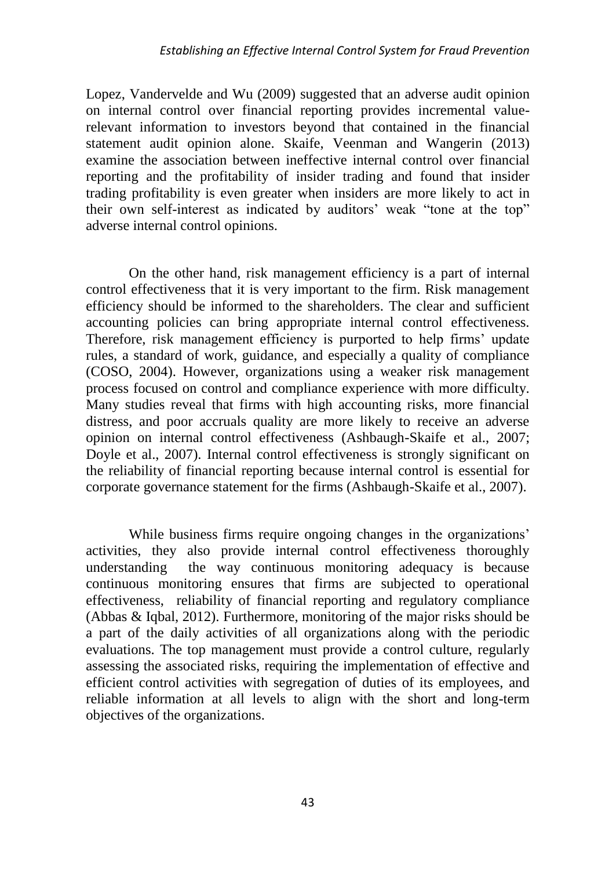Lopez, Vandervelde and Wu (2009) suggested that an adverse audit opinion on internal control over financial reporting provides incremental valuerelevant information to investors beyond that contained in the financial statement audit opinion alone. Skaife, Veenman and Wangerin (2013) examine the association between ineffective internal control over financial reporting and the profitability of insider trading and found that insider trading profitability is even greater when insiders are more likely to act in their own self-interest as indicated by auditors' weak "tone at the top" adverse internal control opinions.

On the other hand, risk management efficiency is a part of internal control effectiveness that it is very important to the firm. Risk management efficiency should be informed to the shareholders. The clear and sufficient accounting policies can bring appropriate internal control effectiveness. Therefore, risk management efficiency is purported to help firms' update rules, a standard of work, guidance, and especially a quality of compliance (COSO, 2004). However, organizations using a weaker risk management process focused on control and compliance experience with more difficulty. Many studies reveal that firms with high accounting risks, more financial distress, and poor accruals quality are more likely to receive an adverse opinion on internal control effectiveness (Ashbaugh-Skaife et al., 2007; Doyle et al., 2007). Internal control effectiveness is strongly significant on the reliability of financial reporting because internal control is essential for corporate governance statement for the firms (Ashbaugh-Skaife et al., 2007).

While business firms require ongoing changes in the organizations' activities, they also provide internal control effectiveness thoroughly understanding the way continuous monitoring adequacy is because continuous monitoring ensures that firms are subjected to operational effectiveness, reliability of financial reporting and regulatory compliance (Abbas & Iqbal, 2012). Furthermore, monitoring of the major risks should be a part of the daily activities of all organizations along with the periodic evaluations. The top management must provide a control culture, regularly assessing the associated risks, requiring the implementation of effective and efficient control activities with segregation of duties of its employees, and reliable information at all levels to align with the short and long-term objectives of the organizations.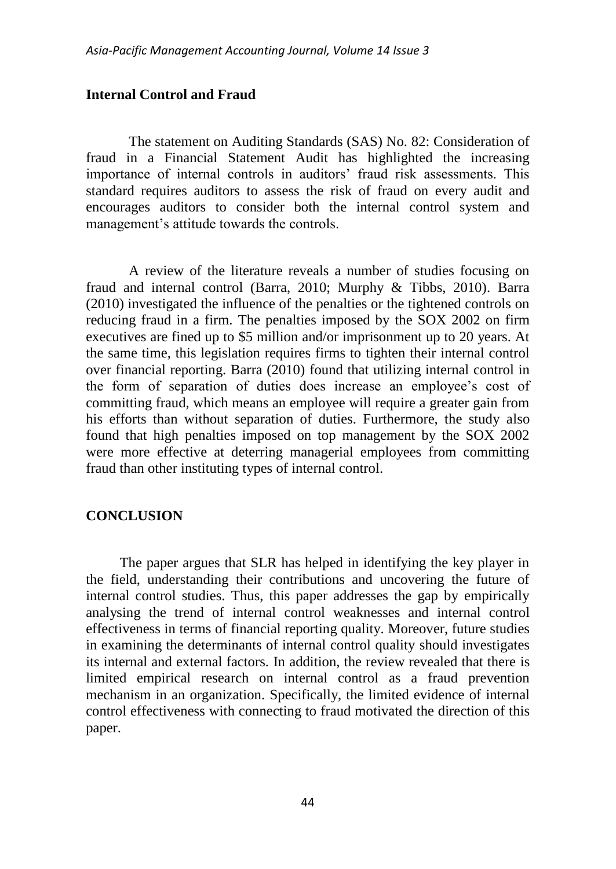## **Internal Control and Fraud**

The statement on Auditing Standards (SAS) No. 82: Consideration of fraud in a Financial Statement Audit has highlighted the increasing importance of internal controls in auditors' fraud risk assessments. This standard requires auditors to assess the risk of fraud on every audit and encourages auditors to consider both the internal control system and management's attitude towards the controls.

A review of the literature reveals a number of studies focusing on fraud and internal control (Barra, 2010; Murphy & Tibbs, 2010). Barra (2010) investigated the influence of the penalties or the tightened controls on reducing fraud in a firm. The penalties imposed by the SOX 2002 on firm executives are fined up to \$5 million and/or imprisonment up to 20 years. At the same time, this legislation requires firms to tighten their internal control over financial reporting. Barra (2010) found that utilizing internal control in the form of separation of duties does increase an employee's cost of committing fraud, which means an employee will require a greater gain from his efforts than without separation of duties. Furthermore, the study also found that high penalties imposed on top management by the SOX 2002 were more effective at deterring managerial employees from committing fraud than other instituting types of internal control.

## **CONCLUSION**

The paper argues that SLR has helped in identifying the key player in the field, understanding their contributions and uncovering the future of internal control studies. Thus, this paper addresses the gap by empirically analysing the trend of internal control weaknesses and internal control effectiveness in terms of financial reporting quality. Moreover, future studies in examining the determinants of internal control quality should investigates its internal and external factors. In addition, the review revealed that there is limited empirical research on internal control as a fraud prevention mechanism in an organization. Specifically, the limited evidence of internal control effectiveness with connecting to fraud motivated the direction of this paper.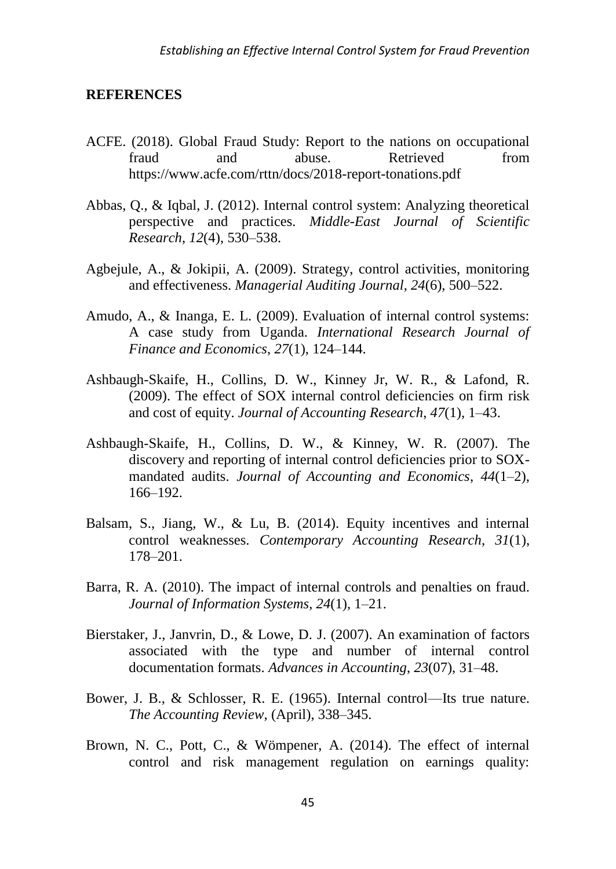## **REFERENCES**

- ACFE. (2018). Global Fraud Study: Report to the nations on occupational fraud and abuse. Retrieved from https://www.acfe.com/rttn/docs/2018-report-tonations.pdf
- Abbas, Q., & Iqbal, J. (2012). Internal control system: Analyzing theoretical perspective and practices. *Middle-East Journal of Scientific Research*, *12*(4), 530–538.
- Agbejule, A., & Jokipii, A. (2009). Strategy, control activities, monitoring and effectiveness. *Managerial Auditing Journal*, *24*(6), 500–522.
- Amudo, A., & Inanga, E. L. (2009). Evaluation of internal control systems: A case study from Uganda. *International Research Journal of Finance and Economics*, *27*(1), 124–144.
- Ashbaugh-Skaife, H., Collins, D. W., Kinney Jr, W. R., & Lafond, R. (2009). The effect of SOX internal control deficiencies on firm risk and cost of equity. *Journal of Accounting Research*, *47*(1), 1–43.
- Ashbaugh-Skaife, H., Collins, D. W., & Kinney, W. R. (2007). The discovery and reporting of internal control deficiencies prior to SOXmandated audits. *Journal of Accounting and Economics*, *44*(1–2), 166–192.
- Balsam, S., Jiang, W., & Lu, B. (2014). Equity incentives and internal control weaknesses. *Contemporary Accounting Research*, *31*(1), 178–201.
- Barra, R. A. (2010). The impact of internal controls and penalties on fraud. *Journal of Information Systems*, *24*(1), 1–21.
- Bierstaker, J., Janvrin, D., & Lowe, D. J. (2007). An examination of factors associated with the type and number of internal control documentation formats. *Advances in Accounting*, *23*(07), 31–48.
- Bower, J. B., & Schlosser, R. E. (1965). Internal control—Its true nature. *The Accounting Review*, (April), 338–345.
- Brown, N. C., Pott, C., & Wömpener, A. (2014). The effect of internal control and risk management regulation on earnings quality: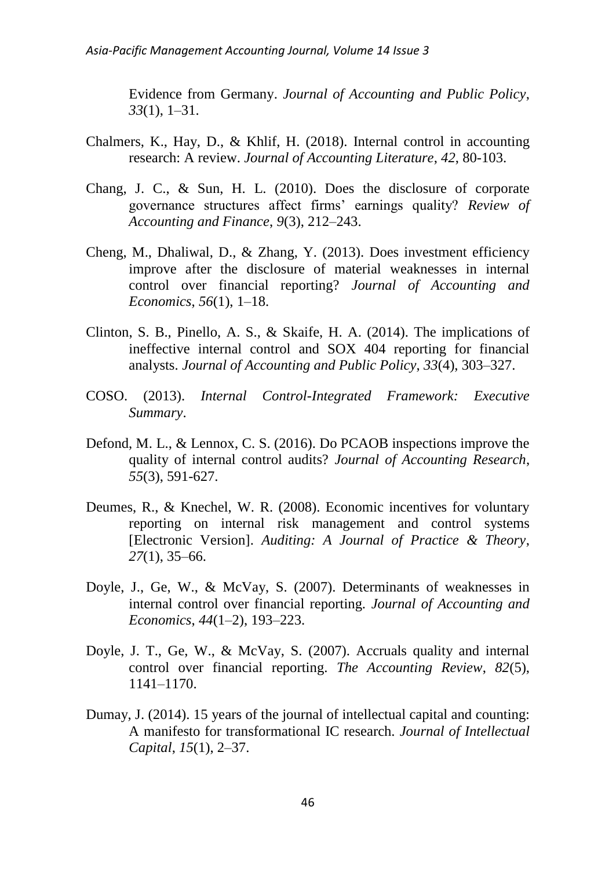Evidence from Germany. *Journal of Accounting and Public Policy*, *33*(1), 1–31.

- Chalmers, K., Hay, D., & Khlif, H. (2018). Internal control in accounting research: A review. *Journal of Accounting Literature*, *42*, 80-103.
- Chang, J. C., & Sun, H. L. (2010). Does the disclosure of corporate governance structures affect firms' earnings quality? *Review of Accounting and Finance*, *9*(3), 212–243.
- Cheng, M., Dhaliwal, D., & Zhang, Y. (2013). Does investment efficiency improve after the disclosure of material weaknesses in internal control over financial reporting? *Journal of Accounting and Economics*, *56*(1), 1–18.
- Clinton, S. B., Pinello, A. S., & Skaife, H. A. (2014). The implications of ineffective internal control and SOX 404 reporting for financial analysts. *Journal of Accounting and Public Policy*, *33*(4), 303–327.
- COSO. (2013). *Internal Control-Integrated Framework: Executive Summary*.
- Defond, M. L., & Lennox, C. S. (2016). Do PCAOB inspections improve the quality of internal control audits? *Journal of Accounting Research*, *55*(3), 591-627.
- Deumes, R., & Knechel, W. R. (2008). Economic incentives for voluntary reporting on internal risk management and control systems [Electronic Version]. *Auditing: A Journal of Practice & Theory*, *27*(1), 35–66.
- Doyle, J., Ge, W., & McVay, S. (2007). Determinants of weaknesses in internal control over financial reporting. *Journal of Accounting and Economics*, *44*(1–2), 193–223.
- Doyle, J. T., Ge, W., & McVay, S. (2007). Accruals quality and internal control over financial reporting. *The Accounting Review*, *82*(5), 1141–1170.
- Dumay, J. (2014). 15 years of the journal of intellectual capital and counting: A manifesto for transformational IC research. *Journal of Intellectual Capital*, *15*(1), 2–37.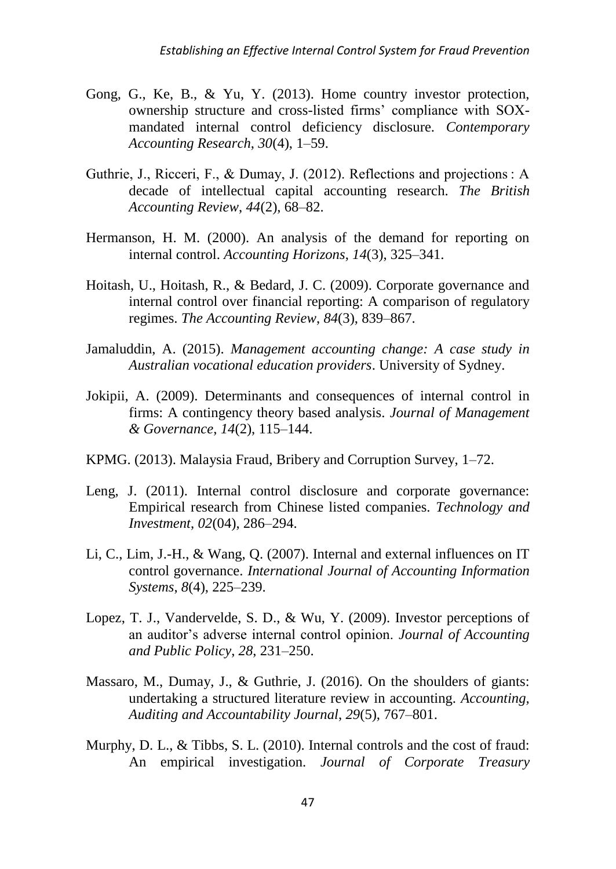- Gong, G., Ke, B., & Yu, Y. (2013). Home country investor protection, ownership structure and cross-listed firms' compliance with SOXmandated internal control deficiency disclosure. *Contemporary Accounting Research*, *30*(4), 1–59.
- Guthrie, J., Ricceri, F., & Dumay, J. (2012). Reflections and projections : A decade of intellectual capital accounting research. *The British Accounting Review*, *44*(2), 68–82.
- Hermanson, H. M. (2000). An analysis of the demand for reporting on internal control. *Accounting Horizons*, *14*(3), 325–341.
- Hoitash, U., Hoitash, R., & Bedard, J. C. (2009). Corporate governance and internal control over financial reporting: A comparison of regulatory regimes. *The Accounting Review*, *84*(3), 839–867.
- Jamaluddin, A. (2015). *Management accounting change: A case study in Australian vocational education providers*. University of Sydney.
- Jokipii, A. (2009). Determinants and consequences of internal control in firms: A contingency theory based analysis. *Journal of Management & Governance*, *14*(2), 115–144.
- KPMG. (2013). Malaysia Fraud, Bribery and Corruption Survey, 1–72.
- Leng, J. (2011). Internal control disclosure and corporate governance: Empirical research from Chinese listed companies. *Technology and Investment*, *02*(04), 286–294.
- Li, C., Lim, J.-H., & Wang, Q. (2007). Internal and external influences on IT control governance. *International Journal of Accounting Information Systems*, *8*(4), 225–239.
- Lopez, T. J., Vandervelde, S. D., & Wu, Y. (2009). Investor perceptions of an auditor's adverse internal control opinion. *Journal of Accounting and Public Policy*, *28*, 231–250.
- Massaro, M., Dumay, J., & Guthrie, J. (2016). On the shoulders of giants: undertaking a structured literature review in accounting. *Accounting, Auditing and Accountability Journal*, *29*(5), 767–801.
- Murphy, D. L., & Tibbs, S. L. (2010). Internal controls and the cost of fraud: An empirical investigation. *Journal of Corporate Treasury*